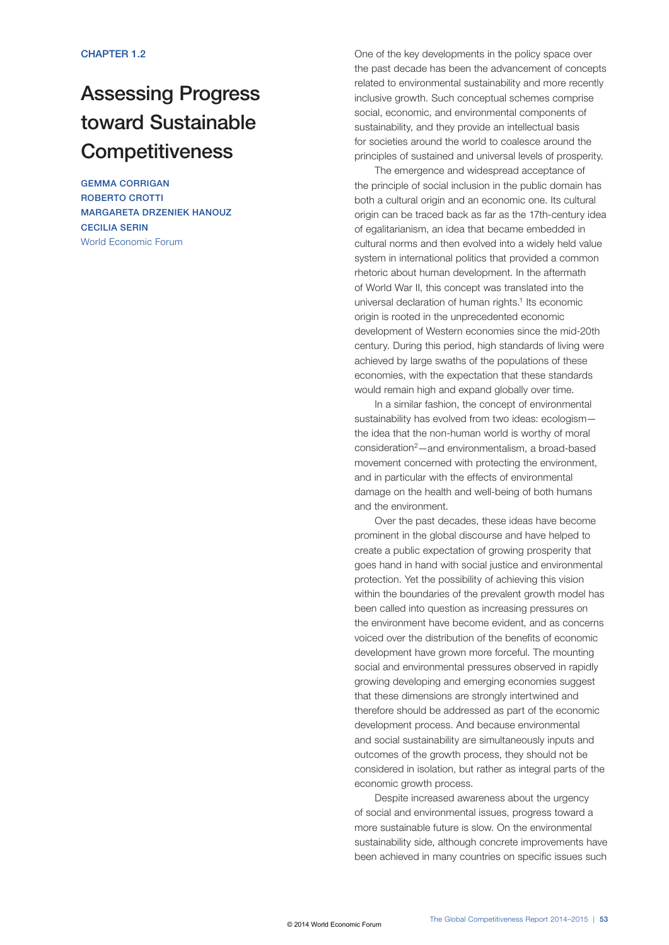# Assessing Progress toward Sustainable **Competitiveness**

GEMMA CORRIGAN ROBERTO CROTTI MARGARETA DRZENIEK HANOUZ CECILIA SERIN World Economic Forum

One of the key developments in the policy space over the past decade has been the advancement of concepts related to environmental sustainability and more recently inclusive growth. Such conceptual schemes comprise social, economic, and environmental components of sustainability, and they provide an intellectual basis for societies around the world to coalesce around the principles of sustained and universal levels of prosperity.

The emergence and widespread acceptance of the principle of social inclusion in the public domain has both a cultural origin and an economic one. Its cultural origin can be traced back as far as the 17th-century idea of egalitarianism, an idea that became embedded in cultural norms and then evolved into a widely held value system in international politics that provided a common rhetoric about human development. In the aftermath of World War II, this concept was translated into the universal declaration of human rights.<sup>1</sup> Its economic origin is rooted in the unprecedented economic development of Western economies since the mid-20th century. During this period, high standards of living were achieved by large swaths of the populations of these economies, with the expectation that these standards would remain high and expand globally over time.

In a similar fashion, the concept of environmental sustainability has evolved from two ideas: ecologism the idea that the non-human world is worthy of moral consideration2—and environmentalism, a broad-based movement concerned with protecting the environment, and in particular with the effects of environmental damage on the health and well-being of both humans and the environment.

Over the past decades, these ideas have become prominent in the global discourse and have helped to create a public expectation of growing prosperity that goes hand in hand with social justice and environmental protection. Yet the possibility of achieving this vision within the boundaries of the prevalent growth model has been called into question as increasing pressures on the environment have become evident, and as concerns voiced over the distribution of the benefits of economic development have grown more forceful. The mounting social and environmental pressures observed in rapidly growing developing and emerging economies suggest that these dimensions are strongly intertwined and therefore should be addressed as part of the economic development process. And because environmental and social sustainability are simultaneously inputs and outcomes of the growth process, they should not be considered in isolation, but rather as integral parts of the economic growth process.

Despite increased awareness about the urgency of social and environmental issues, progress toward a more sustainable future is slow. On the environmental sustainability side, although concrete improvements have been achieved in many countries on specific issues such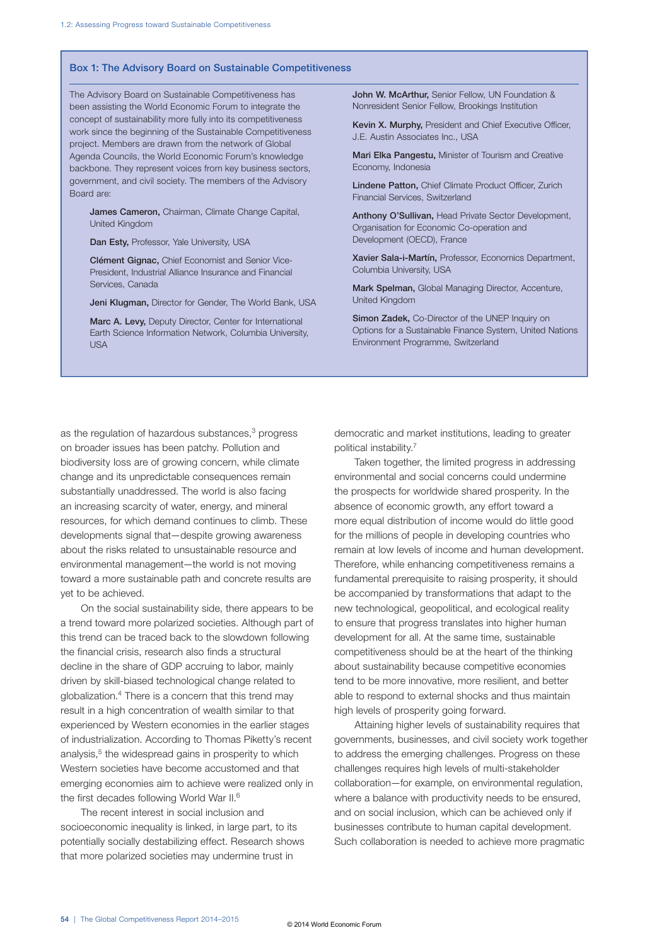#### Box 1: The Advisory Board on Sustainable Competitiveness

The Advisory Board on Sustainable Competitiveness has been assisting the World Economic Forum to integrate the concept of sustainability more fully into its competitiveness work since the beginning of the Sustainable Competitiveness project. Members are drawn from the network of Global Agenda Councils, the World Economic Forum's knowledge backbone. They represent voices from key business sectors, government, and civil society. The members of the Advisory Board are:

James Cameron, Chairman, Climate Change Capital, United Kingdom

Dan Esty, Professor, Yale University, USA

Clément Gignac, Chief Economist and Senior Vice-President, Industrial Alliance Insurance and Financial Services, Canada

Jeni Klugman, Director for Gender, The World Bank, USA

Marc A. Levy, Deputy Director, Center for International Earth Science Information Network, Columbia University, USA

John W. McArthur, Senior Fellow, UN Foundation & Nonresident Senior Fellow, Brookings Institution

Kevin X. Murphy, President and Chief Executive Officer, J.E. Austin Associates Inc., USA

Mari Elka Pangestu, Minister of Tourism and Creative Economy, Indonesia

Lindene Patton, Chief Climate Product Officer, Zurich Financial Services, Switzerland

Anthony O'Sullivan, Head Private Sector Development, Organisation for Economic Co-operation and Development (OECD), France

Xavier Sala-i-Martín, Professor, Economics Department, Columbia University, USA

Mark Spelman, Global Managing Director, Accenture, United Kingdom

Simon Zadek, Co-Director of the UNEP Inquiry on Options for a Sustainable Finance System, United Nations Environment Programme, Switzerland

as the regulation of hazardous substances, $3$  progress on broader issues has been patchy. Pollution and biodiversity loss are of growing concern, while climate change and its unpredictable consequences remain substantially unaddressed. The world is also facing an increasing scarcity of water, energy, and mineral resources, for which demand continues to climb. These developments signal that—despite growing awareness about the risks related to unsustainable resource and environmental management—the world is not moving toward a more sustainable path and concrete results are yet to be achieved.

On the social sustainability side, there appears to be a trend toward more polarized societies. Although part of this trend can be traced back to the slowdown following the financial crisis, research also finds a structural decline in the share of GDP accruing to labor, mainly driven by skill-biased technological change related to globalization.4 There is a concern that this trend may result in a high concentration of wealth similar to that experienced by Western economies in the earlier stages of industrialization. According to Thomas Piketty's recent analysis,<sup>5</sup> the widespread gains in prosperity to which Western societies have become accustomed and that emerging economies aim to achieve were realized only in the first decades following World War II.6

The recent interest in social inclusion and socioeconomic inequality is linked, in large part, to its potentially socially destabilizing effect. Research shows that more polarized societies may undermine trust in

democratic and market institutions, leading to greater political instability.7

Taken together, the limited progress in addressing environmental and social concerns could undermine the prospects for worldwide shared prosperity. In the absence of economic growth, any effort toward a more equal distribution of income would do little good for the millions of people in developing countries who remain at low levels of income and human development. Therefore, while enhancing competitiveness remains a fundamental prerequisite to raising prosperity, it should be accompanied by transformations that adapt to the new technological, geopolitical, and ecological reality to ensure that progress translates into higher human development for all. At the same time, sustainable competitiveness should be at the heart of the thinking about sustainability because competitive economies tend to be more innovative, more resilient, and better able to respond to external shocks and thus maintain high levels of prosperity going forward.

Attaining higher levels of sustainability requires that governments, businesses, and civil society work together to address the emerging challenges. Progress on these challenges requires high levels of multi-stakeholder collaboration—for example, on environmental regulation, where a balance with productivity needs to be ensured. and on social inclusion, which can be achieved only if businesses contribute to human capital development. Such collaboration is needed to achieve more pragmatic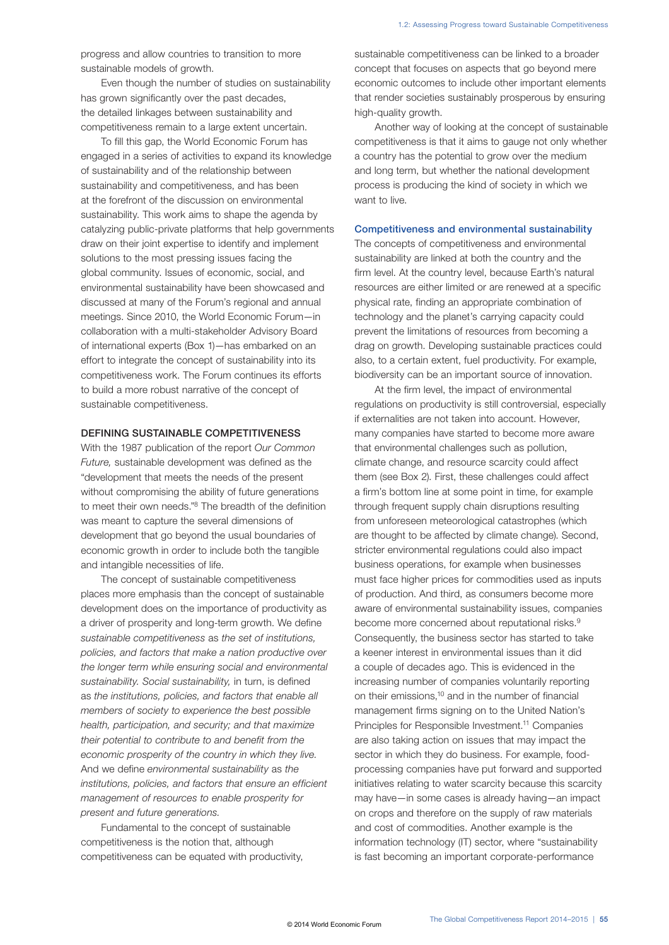progress and allow countries to transition to more sustainable models of growth.

Even though the number of studies on sustainability has grown significantly over the past decades, the detailed linkages between sustainability and competitiveness remain to a large extent uncertain.

To fill this gap, the World Economic Forum has engaged in a series of activities to expand its knowledge of sustainability and of the relationship between sustainability and competitiveness, and has been at the forefront of the discussion on environmental sustainability. This work aims to shape the agenda by catalyzing public-private platforms that help governments draw on their joint expertise to identify and implement solutions to the most pressing issues facing the global community. Issues of economic, social, and environmental sustainability have been showcased and discussed at many of the Forum's regional and annual meetings. Since 2010, the World Economic Forum—in collaboration with a multi-stakeholder Advisory Board of international experts (Box 1)—has embarked on an effort to integrate the concept of sustainability into its competitiveness work. The Forum continues its efforts to build a more robust narrative of the concept of sustainable competitiveness.

#### DEFINING SUSTAINABLE COMPETITIVENESS

With the 1987 publication of the report *Our Common Future,* sustainable development was defined as the "development that meets the needs of the present without compromising the ability of future generations to meet their own needs."8 The breadth of the definition was meant to capture the several dimensions of development that go beyond the usual boundaries of economic growth in order to include both the tangible and intangible necessities of life.

The concept of sustainable competitiveness places more emphasis than the concept of sustainable development does on the importance of productivity as a driver of prosperity and long-term growth. We define *sustainable competitiveness* as *the set of institutions, policies, and factors that make a nation productive over the longer term while ensuring social and environmental sustainability. Social sustainability,* in turn, is defined as *the institutions, policies, and factors that enable all members of society to experience the best possible health, participation, and security; and that maximize their potential to contribute to and benefit from the economic prosperity of the country in which they live.* And we define *environmental sustainability* as *the institutions, policies, and factors that ensure an efficient management of resources to enable prosperity for present and future generations.*

Fundamental to the concept of sustainable competitiveness is the notion that, although competitiveness can be equated with productivity, sustainable competitiveness can be linked to a broader concept that focuses on aspects that go beyond mere economic outcomes to include other important elements that render societies sustainably prosperous by ensuring high-quality growth.

Another way of looking at the concept of sustainable competitiveness is that it aims to gauge not only whether a country has the potential to grow over the medium and long term, but whether the national development process is producing the kind of society in which we want to live.

#### Competitiveness and environmental sustainability

The concepts of competitiveness and environmental sustainability are linked at both the country and the firm level. At the country level, because Earth's natural resources are either limited or are renewed at a specific physical rate, finding an appropriate combination of technology and the planet's carrying capacity could prevent the limitations of resources from becoming a drag on growth. Developing sustainable practices could also, to a certain extent, fuel productivity. For example, biodiversity can be an important source of innovation.

At the firm level, the impact of environmental regulations on productivity is still controversial, especially if externalities are not taken into account. However, many companies have started to become more aware that environmental challenges such as pollution, climate change, and resource scarcity could affect them (see Box 2). First, these challenges could affect a firm's bottom line at some point in time, for example through frequent supply chain disruptions resulting from unforeseen meteorological catastrophes (which are thought to be affected by climate change). Second, stricter environmental regulations could also impact business operations, for example when businesses must face higher prices for commodities used as inputs of production. And third, as consumers become more aware of environmental sustainability issues, companies become more concerned about reputational risks.<sup>9</sup> Consequently, the business sector has started to take a keener interest in environmental issues than it did a couple of decades ago. This is evidenced in the increasing number of companies voluntarily reporting on their emissions,10 and in the number of financial management firms signing on to the United Nation's Principles for Responsible Investment.11 Companies are also taking action on issues that may impact the sector in which they do business. For example, foodprocessing companies have put forward and supported initiatives relating to water scarcity because this scarcity may have—in some cases is already having—an impact on crops and therefore on the supply of raw materials and cost of commodities. Another example is the information technology (IT) sector, where "sustainability is fast becoming an important corporate-performance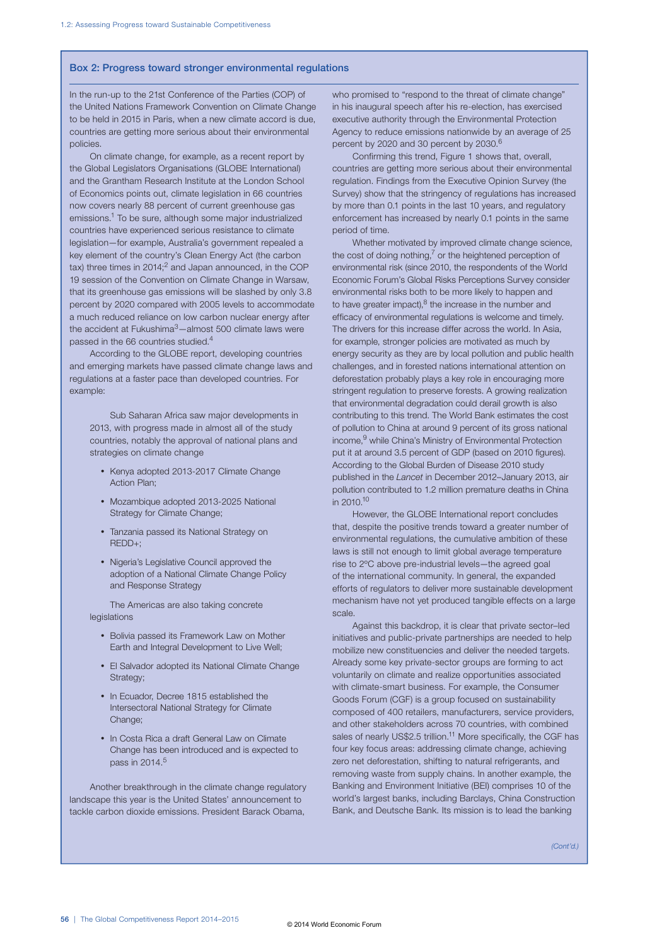#### Box 2: Progress toward stronger environmental regulations

In the run-up to the 21st Conference of the Parties (COP) of the United Nations Framework Convention on Climate Change to be held in 2015 in Paris, when a new climate accord is due, countries are getting more serious about their environmental policies.

On climate change, for example, as a recent report by the Global Legislators Organisations (GLOBE International) and the Grantham Research Institute at the London School of Economics points out, climate legislation in 66 countries now covers nearly 88 percent of current greenhouse gas emissions.1 To be sure, although some major industrialized countries have experienced serious resistance to climate legislation—for example, Australia's government repealed a key element of the country's Clean Energy Act (the carbon tax) three times in  $2014$ ;<sup>2</sup> and Japan announced, in the COP 19 session of the Convention on Climate Change in Warsaw, that its greenhouse gas emissions will be slashed by only 3.8 percent by 2020 compared with 2005 levels to accommodate a much reduced reliance on low carbon nuclear energy after the accident at Fukushima<sup>3</sup>-almost 500 climate laws were passed in the 66 countries studied.4

According to the GLOBE report, developing countries and emerging markets have passed climate change laws and regulations at a faster pace than developed countries. For example:

Sub Saharan Africa saw major developments in 2013, with progress made in almost all of the study countries, notably the approval of national plans and strategies on climate change

- Kenya adopted 2013-2017 Climate Change Action Plan;
- Mozambique adopted 2013-2025 National Strategy for Climate Change;
- Tanzania passed its National Strategy on REDD+;
- Nigeria's Legislative Council approved the adoption of a National Climate Change Policy and Response Strategy

The Americas are also taking concrete legislations

- Bolivia passed its Framework Law on Mother Earth and Integral Development to Live Well;
- El Salvador adopted its National Climate Change Strategy:
- In Ecuador, Decree 1815 established the Intersectoral National Strategy for Climate Change;
- In Costa Rica a draft General Law on Climate Change has been introduced and is expected to pass in 2014.<sup>5</sup>

Another breakthrough in the climate change regulatory landscape this year is the United States' announcement to tackle carbon dioxide emissions. President Barack Obama,

who promised to "respond to the threat of climate change" in his inaugural speech after his re-election, has exercised executive authority through the Environmental Protection Agency to reduce emissions nationwide by an average of 25 percent by 2020 and 30 percent by 2030.<sup>6</sup>

Confirming this trend, Figure 1 shows that, overall, countries are getting more serious about their environmental regulation. Findings from the Executive Opinion Survey (the Survey) show that the stringency of regulations has increased by more than 0.1 points in the last 10 years, and regulatory enforcement has increased by nearly 0.1 points in the same period of time.

Whether motivated by improved climate change science, the cost of doing nothing, $^7$  or the heightened perception of environmental risk (since 2010, the respondents of the World Economic Forum's Global Risks Perceptions Survey consider environmental risks both to be more likely to happen and to have greater impact), $8$  the increase in the number and efficacy of environmental regulations is welcome and timely. The drivers for this increase differ across the world. In Asia, for example, stronger policies are motivated as much by energy security as they are by local pollution and public health challenges, and in forested nations international attention on deforestation probably plays a key role in encouraging more stringent regulation to preserve forests. A growing realization that environmental degradation could derail growth is also contributing to this trend. The World Bank estimates the cost of pollution to China at around 9 percent of its gross national income, <sup>9</sup> while China's Ministry of Environmental Protection put it at around 3.5 percent of GDP (based on 2010 figures). According to the Global Burden of Disease 2010 study published in the *Lancet* in December 2012–January 2013, air pollution contributed to 1.2 million premature deaths in China in 2010.10

However, the GLOBE International report concludes that, despite the positive trends toward a greater number of environmental regulations, the cumulative ambition of these laws is still not enough to limit global average temperature rise to 2ºC above pre-industrial levels—the agreed goal of the international community. In general, the expanded efforts of regulators to deliver more sustainable development mechanism have not yet produced tangible effects on a large scale.

Against this backdrop, it is clear that private sector–led initiatives and public-private partnerships are needed to help mobilize new constituencies and deliver the needed targets. Already some key private-sector groups are forming to act voluntarily on climate and realize opportunities associated with climate-smart business. For example, the Consumer Goods Forum (CGF) is a group focused on sustainability composed of 400 retailers, manufacturers, service providers, and other stakeholders across 70 countries, with combined sales of nearly US\$2.5 trillion.<sup>11</sup> More specifically, the CGF has four key focus areas: addressing climate change, achieving zero net deforestation, shifting to natural refrigerants, and removing waste from supply chains. In another example, the Banking and Environment Initiative (BEI) comprises 10 of the world's largest banks, including Barclays, China Construction Bank, and Deutsche Bank. Its mission is to lead the banking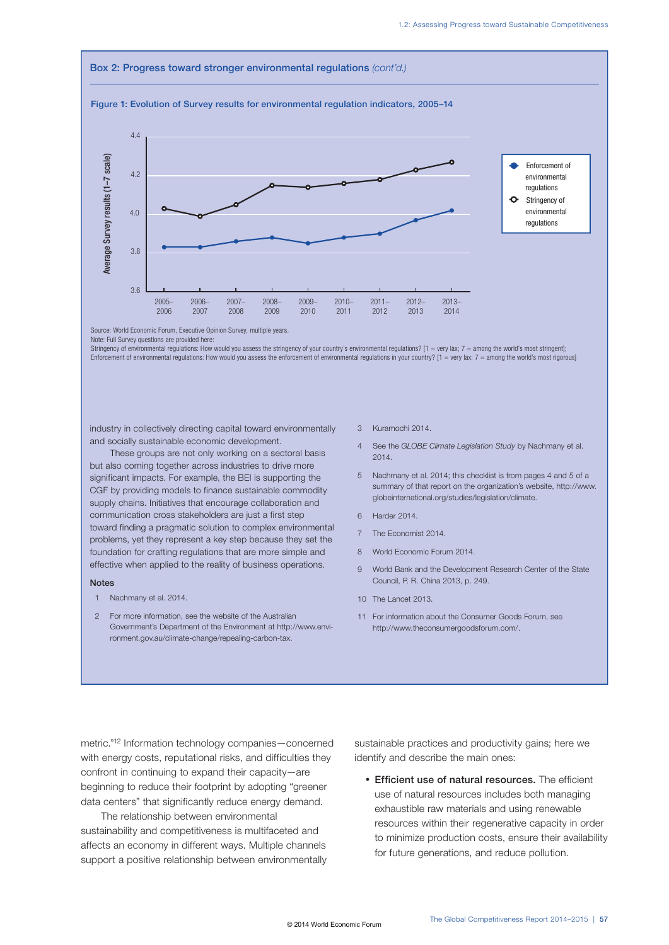#### Box 2: Progress toward stronger environmental regulations *(cont'd.)* Figure 1: Evolution of Survey results for environmental regulation indicators, 2005–14 4.4 Average Survey results (1-7 scale) Average Survey results (1–7 scale) Enforcement of 4.2 environmental regulations  $\bullet$ Stringency of environmental  $4.0$ regulations 3.8 3.6 2005– 2006– 2007– 2008– 2009– 2010– 2011– 2012– 2013– 2006 2007 2008 2009 2010 2011 2012 2013 2014

Source: World Economic Forum, Executive Opinion Survey, multiple years.

Stringency of environmental regulations: How would you assess the stringency of your country's environmental regulations? [1 = very lax; 7 = among the world's most stringent]; Enforcement of environmental regulations: How would you assess the enforcement of environmental regulations in your country?  $[1 = \text{very lax}; 7 = \text{among the world's most rigorously}]$ 

industry in collectively directing capital toward environmentally and socially sustainable economic development.

These groups are not only working on a sectoral basis but also coming together across industries to drive more significant impacts. For example, the BEI is supporting the CGF by providing models to finance sustainable commodity supply chains. Initiatives that encourage collaboration and communication cross stakeholders are just a first step toward finding a pragmatic solution to complex environmental problems, yet they represent a key step because they set the foundation for crafting regulations that are more simple and effective when applied to the reality of business operations.

#### **Notes**

- 1 Nachmany et al. 2014.
- 2 For more information, see the website of the Australian Government's Department of the Environment at http://www.environment.gov.au/climate-change/repealing-carbon-tax.
- 3 Kuramochi 2014.
- 4 See the *GLOBE Climate Legislation Study* by Nachmany et al. 2014.
- 5 Nachmany et al. 2014; this checklist is from pages 4 and 5 of a summary of that report on the organization's website, http://www. globeinternational.org/studies/legislation/climate.
- 6 Harder 2014.
- 7 The Economist 2014.
- 8 World Economic Forum 2014.
- 9 World Bank and the Development Research Center of the State Council, P. R. China 2013, p. 249.
- 10 The Lancet 2013.
- 11 For information about the Consumer Goods Forum, see http://www.theconsumergoodsforum.com/.

metric."12 Information technology companies—concerned with energy costs, reputational risks, and difficulties they confront in continuing to expand their capacity—are beginning to reduce their footprint by adopting "greener data centers" that significantly reduce energy demand.

The relationship between environmental sustainability and competitiveness is multifaceted and affects an economy in different ways. Multiple channels support a positive relationship between environmentally sustainable practices and productivity gains; here we identify and describe the main ones:

• Efficient use of natural resources. The efficient use of natural resources includes both managing exhaustible raw materials and using renewable resources within their regenerative capacity in order to minimize production costs, ensure their availability for future generations, and reduce pollution.

Note: Full Survey questions are provided here: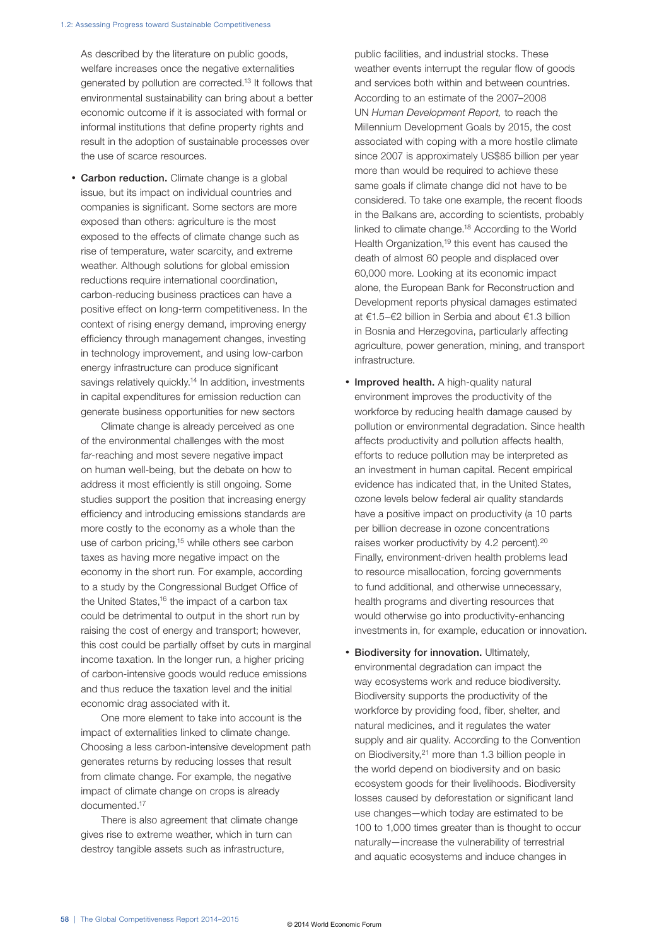As described by the literature on public goods, welfare increases once the negative externalities generated by pollution are corrected.13 It follows that environmental sustainability can bring about a better economic outcome if it is associated with formal or informal institutions that define property rights and result in the adoption of sustainable processes over the use of scarce resources.

**Carbon reduction.** Climate change is a global issue, but its impact on individual countries and companies is significant. Some sectors are more exposed than others: agriculture is the most exposed to the effects of climate change such as rise of temperature, water scarcity, and extreme weather. Although solutions for global emission reductions require international coordination, carbon-reducing business practices can have a positive effect on long-term competitiveness. In the context of rising energy demand, improving energy efficiency through management changes, investing in technology improvement, and using low-carbon energy infrastructure can produce significant savings relatively quickly.<sup>14</sup> In addition, investments in capital expenditures for emission reduction can generate business opportunities for new sectors

Climate change is already perceived as one of the environmental challenges with the most far-reaching and most severe negative impact on human well-being, but the debate on how to address it most efficiently is still ongoing. Some studies support the position that increasing energy efficiency and introducing emissions standards are more costly to the economy as a whole than the use of carbon pricing,<sup>15</sup> while others see carbon taxes as having more negative impact on the economy in the short run. For example, according to a study by the Congressional Budget Office of the United States,<sup>16</sup> the impact of a carbon tax could be detrimental to output in the short run by raising the cost of energy and transport; however, this cost could be partially offset by cuts in marginal income taxation. In the longer run, a higher pricing of carbon-intensive goods would reduce emissions and thus reduce the taxation level and the initial economic drag associated with it.

One more element to take into account is the impact of externalities linked to climate change. Choosing a less carbon-intensive development path generates returns by reducing losses that result from climate change. For example, the negative impact of climate change on crops is already documented.17

There is also agreement that climate change gives rise to extreme weather, which in turn can destroy tangible assets such as infrastructure,

public facilities, and industrial stocks. These weather events interrupt the regular flow of goods and services both within and between countries. According to an estimate of the 2007–2008 UN *Human Development Report,* to reach the Millennium Development Goals by 2015, the cost associated with coping with a more hostile climate since 2007 is approximately US\$85 billion per year more than would be required to achieve these same goals if climate change did not have to be considered. To take one example, the recent floods in the Balkans are, according to scientists, probably linked to climate change.18 According to the World Health Organization,<sup>19</sup> this event has caused the death of almost 60 people and displaced over 60,000 more. Looking at its economic impact alone, the European Bank for Reconstruction and Development reports physical damages estimated at €1.5–€2 billion in Serbia and about €1.3 billion in Bosnia and Herzegovina, particularly affecting agriculture, power generation, mining, and transport infrastructure.

- Improved health. A high-quality natural environment improves the productivity of the workforce by reducing health damage caused by pollution or environmental degradation. Since health affects productivity and pollution affects health, efforts to reduce pollution may be interpreted as an investment in human capital. Recent empirical evidence has indicated that, in the United States, ozone levels below federal air quality standards have a positive impact on productivity (a 10 parts per billion decrease in ozone concentrations raises worker productivity by 4.2 percent).<sup>20</sup> Finally, environment-driven health problems lead to resource misallocation, forcing governments to fund additional, and otherwise unnecessary, health programs and diverting resources that would otherwise go into productivity-enhancing investments in, for example, education or innovation.
- Biodiversity for innovation. Ultimately, environmental degradation can impact the way ecosystems work and reduce biodiversity. Biodiversity supports the productivity of the workforce by providing food, fiber, shelter, and natural medicines, and it regulates the water supply and air quality. According to the Convention on Biodiversity,<sup>21</sup> more than 1.3 billion people in the world depend on biodiversity and on basic ecosystem goods for their livelihoods. Biodiversity losses caused by deforestation or significant land use changes—which today are estimated to be 100 to 1,000 times greater than is thought to occur naturally—increase the vulnerability of terrestrial and aquatic ecosystems and induce changes in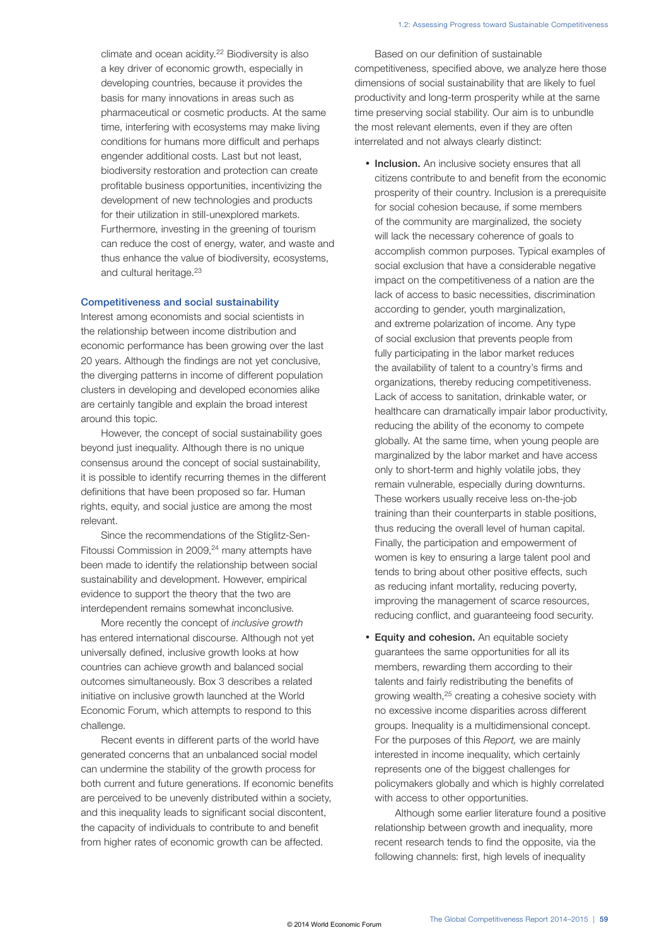climate and ocean acidity.<sup>22</sup> Biodiversity is also a key driver of economic growth, especially in developing countries, because it provides the basis for many innovations in areas such as pharmaceutical or cosmetic products. At the same time, interfering with ecosystems may make living conditions for humans more difficult and perhaps engender additional costs. Last but not least, biodiversity restoration and protection can create profitable business opportunities, incentivizing the development of new technologies and products for their utilization in still-unexplored markets. Furthermore, investing in the greening of tourism can reduce the cost of energy, water, and waste and thus enhance the value of biodiversity, ecosystems, and cultural heritage.<sup>23</sup>

#### Competitiveness and social sustainability

Interest among economists and social scientists in the relationship between income distribution and economic performance has been growing over the last 20 years. Although the findings are not yet conclusive, the diverging patterns in income of different population clusters in developing and developed economies alike are certainly tangible and explain the broad interest around this topic.

However, the concept of social sustainability goes beyond just inequality. Although there is no unique consensus around the concept of social sustainability, it is possible to identify recurring themes in the different definitions that have been proposed so far. Human rights, equity, and social justice are among the most relevant.

Since the recommendations of the Stiglitz-Sen-Fitoussi Commission in 2009,<sup>24</sup> many attempts have been made to identify the relationship between social sustainability and development. However, empirical evidence to support the theory that the two are interdependent remains somewhat inconclusive.

More recently the concept of *inclusive growth* has entered international discourse. Although not yet universally defined, inclusive growth looks at how countries can achieve growth and balanced social outcomes simultaneously. Box 3 describes a related initiative on inclusive growth launched at the World Economic Forum, which attempts to respond to this challenge.

Recent events in different parts of the world have generated concerns that an unbalanced social model can undermine the stability of the growth process for both current and future generations. If economic benefits are perceived to be unevenly distributed within a society, and this inequality leads to significant social discontent, the capacity of individuals to contribute to and benefit from higher rates of economic growth can be affected.

Based on our definition of sustainable competitiveness, specified above, we analyze here those dimensions of social sustainability that are likely to fuel productivity and long-term prosperity while at the same time preserving social stability. Our aim is to unbundle the most relevant elements, even if they are often interrelated and not always clearly distinct:

- Inclusion. An inclusive society ensures that all citizens contribute to and benefit from the economic prosperity of their country. Inclusion is a prerequisite for social cohesion because, if some members of the community are marginalized, the society will lack the necessary coherence of goals to accomplish common purposes. Typical examples of social exclusion that have a considerable negative impact on the competitiveness of a nation are the lack of access to basic necessities, discrimination according to gender, youth marginalization, and extreme polarization of income. Any type of social exclusion that prevents people from fully participating in the labor market reduces the availability of talent to a country's firms and organizations, thereby reducing competitiveness. Lack of access to sanitation, drinkable water, or healthcare can dramatically impair labor productivity, reducing the ability of the economy to compete globally. At the same time, when young people are marginalized by the labor market and have access only to short-term and highly volatile jobs, they remain vulnerable, especially during downturns. These workers usually receive less on-the-job training than their counterparts in stable positions, thus reducing the overall level of human capital. Finally, the participation and empowerment of women is key to ensuring a large talent pool and tends to bring about other positive effects, such as reducing infant mortality, reducing poverty, improving the management of scarce resources, reducing conflict, and guaranteeing food security.
- Equity and cohesion. An equitable society guarantees the same opportunities for all its members, rewarding them according to their talents and fairly redistributing the benefits of growing wealth,25 creating a cohesive society with no excessive income disparities across different groups. Inequality is a multidimensional concept. For the purposes of this *Report,* we are mainly interested in income inequality, which certainly represents one of the biggest challenges for policymakers globally and which is highly correlated with access to other opportunities.

Although some earlier literature found a positive relationship between growth and inequality, more recent research tends to find the opposite, via the following channels: first, high levels of inequality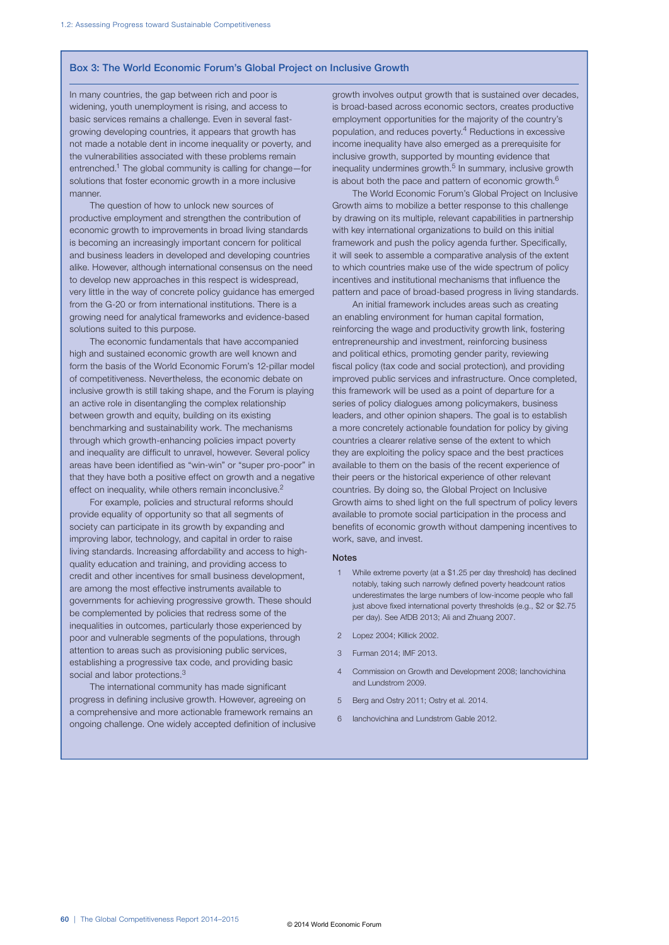#### Box 3: The World Economic Forum's Global Project on Inclusive Growth

In many countries, the gap between rich and poor is widening, youth unemployment is rising, and access to basic services remains a challenge. Even in several fastgrowing developing countries, it appears that growth has not made a notable dent in income inequality or poverty, and the vulnerabilities associated with these problems remain entrenched.1 The global community is calling for change—for solutions that foster economic growth in a more inclusive manner.

The question of how to unlock new sources of productive employment and strengthen the contribution of economic growth to improvements in broad living standards is becoming an increasingly important concern for political and business leaders in developed and developing countries alike. However, although international consensus on the need to develop new approaches in this respect is widespread, very little in the way of concrete policy guidance has emerged from the G-20 or from international institutions. There is a growing need for analytical frameworks and evidence-based solutions suited to this purpose.

The economic fundamentals that have accompanied high and sustained economic growth are well known and form the basis of the World Economic Forum's 12-pillar model of competitiveness. Nevertheless, the economic debate on inclusive growth is still taking shape, and the Forum is playing an active role in disentangling the complex relationship between growth and equity, building on its existing benchmarking and sustainability work. The mechanisms through which growth-enhancing policies impact poverty and inequality are difficult to unravel, however. Several policy areas have been identified as "win-win" or "super pro-poor" in that they have both a positive effect on growth and a negative effect on inequality, while others remain inconclusive.<sup>2</sup>

For example, policies and structural reforms should provide equality of opportunity so that all segments of society can participate in its growth by expanding and improving labor, technology, and capital in order to raise living standards. Increasing affordability and access to highquality education and training, and providing access to credit and other incentives for small business development, are among the most effective instruments available to governments for achieving progressive growth. These should be complemented by policies that redress some of the inequalities in outcomes, particularly those experienced by poor and vulnerable segments of the populations, through attention to areas such as provisioning public services, establishing a progressive tax code, and providing basic social and labor protections.<sup>3</sup>

The international community has made significant progress in defining inclusive growth. However, agreeing on a comprehensive and more actionable framework remains an ongoing challenge. One widely accepted definition of inclusive growth involves output growth that is sustained over decades, is broad-based across economic sectors, creates productive employment opportunities for the majority of the country's population, and reduces poverty.4 Reductions in excessive income inequality have also emerged as a prerequisite for inclusive growth, supported by mounting evidence that inequality undermines growth.<sup>5</sup> In summary, inclusive growth is about both the pace and pattern of economic growth. $<sup>6</sup>$ </sup>

The World Economic Forum's Global Project on Inclusive Growth aims to mobilize a better response to this challenge by drawing on its multiple, relevant capabilities in partnership with key international organizations to build on this initial framework and push the policy agenda further. Specifically, it will seek to assemble a comparative analysis of the extent to which countries make use of the wide spectrum of policy incentives and institutional mechanisms that influence the pattern and pace of broad-based progress in living standards.

An initial framework includes areas such as creating an enabling environment for human capital formation, reinforcing the wage and productivity growth link, fostering entrepreneurship and investment, reinforcing business and political ethics, promoting gender parity, reviewing fiscal policy (tax code and social protection), and providing improved public services and infrastructure. Once completed, this framework will be used as a point of departure for a series of policy dialogues among policymakers, business leaders, and other opinion shapers. The goal is to establish a more concretely actionable foundation for policy by giving countries a clearer relative sense of the extent to which they are exploiting the policy space and the best practices available to them on the basis of the recent experience of their peers or the historical experience of other relevant countries. By doing so, the Global Project on Inclusive Growth aims to shed light on the full spectrum of policy levers available to promote social participation in the process and benefits of economic growth without dampening incentives to work, save, and invest.

#### Notes

- 1 While extreme poverty (at a \$1.25 per day threshold) has declined notably, taking such narrowly defined poverty headcount ratios underestimates the large numbers of low-income people who fall just above fixed international poverty thresholds (e.g., \$2 or \$2.75 per day). See AfDB 2013; Ali and Zhuang 2007.
- 2 Lopez 2004; Killick 2002.
- 3 Furman 2014; IMF 2013.
- 4 Commission on Growth and Development 2008; Ianchovichina and Lundstrom 2009.
- 5 Berg and Ostry 2011; Ostry et al. 2014.
- 6 Ianchovichina and Lundstrom Gable 2012.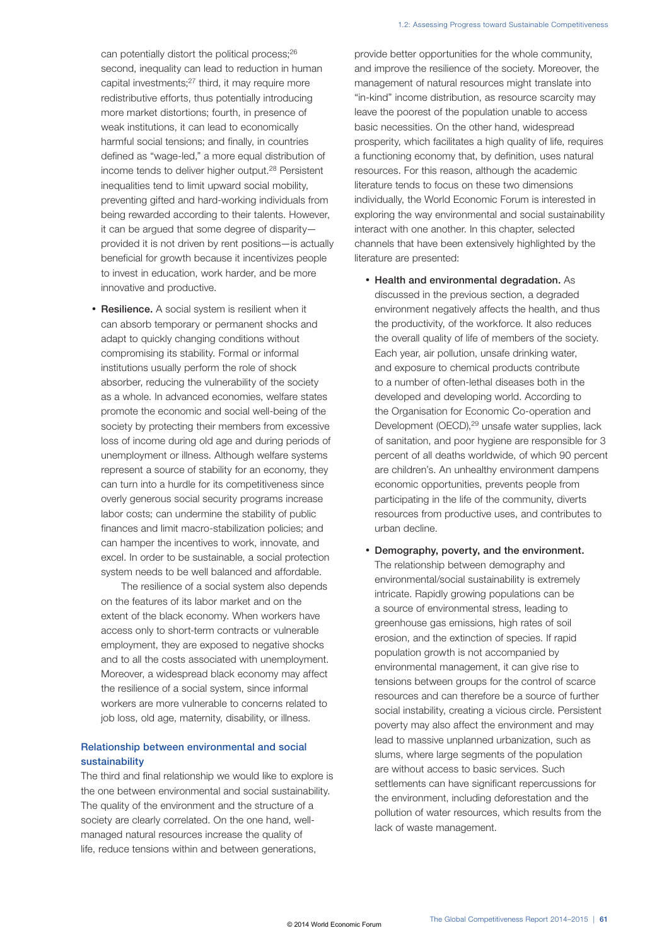can potentially distort the political process;<sup>26</sup> second, inequality can lead to reduction in human capital investments;27 third, it may require more redistributive efforts, thus potentially introducing more market distortions; fourth, in presence of weak institutions, it can lead to economically harmful social tensions; and finally, in countries defined as "wage-led," a more equal distribution of income tends to deliver higher output.<sup>28</sup> Persistent inequalities tend to limit upward social mobility, preventing gifted and hard-working individuals from being rewarded according to their talents. However, it can be argued that some degree of disparity provided it is not driven by rent positions—is actually beneficial for growth because it incentivizes people to invest in education, work harder, and be more innovative and productive.

• Resilience. A social system is resilient when it can absorb temporary or permanent shocks and adapt to quickly changing conditions without compromising its stability. Formal or informal institutions usually perform the role of shock absorber, reducing the vulnerability of the society as a whole. In advanced economies, welfare states promote the economic and social well-being of the society by protecting their members from excessive loss of income during old age and during periods of unemployment or illness. Although welfare systems represent a source of stability for an economy, they can turn into a hurdle for its competitiveness since overly generous social security programs increase labor costs; can undermine the stability of public finances and limit macro-stabilization policies; and can hamper the incentives to work, innovate, and excel. In order to be sustainable, a social protection system needs to be well balanced and affordable.

The resilience of a social system also depends on the features of its labor market and on the extent of the black economy. When workers have access only to short-term contracts or vulnerable employment, they are exposed to negative shocks and to all the costs associated with unemployment. Moreover, a widespread black economy may affect the resilience of a social system, since informal workers are more vulnerable to concerns related to job loss, old age, maternity, disability, or illness.

### Relationship between environmental and social sustainability

The third and final relationship we would like to explore is the one between environmental and social sustainability. The quality of the environment and the structure of a society are clearly correlated. On the one hand, wellmanaged natural resources increase the quality of life, reduce tensions within and between generations,

provide better opportunities for the whole community, and improve the resilience of the society. Moreover, the management of natural resources might translate into "in-kind" income distribution, as resource scarcity may leave the poorest of the population unable to access basic necessities. On the other hand, widespread prosperity, which facilitates a high quality of life, requires a functioning economy that, by definition, uses natural resources. For this reason, although the academic literature tends to focus on these two dimensions individually, the World Economic Forum is interested in exploring the way environmental and social sustainability interact with one another. In this chapter, selected channels that have been extensively highlighted by the literature are presented:

- Health and environmental degradation. As discussed in the previous section, a degraded environment negatively affects the health, and thus the productivity, of the workforce. It also reduces the overall quality of life of members of the society. Each year, air pollution, unsafe drinking water, and exposure to chemical products contribute to a number of often-lethal diseases both in the developed and developing world. According to the Organisation for Economic Co-operation and Development (OECD),<sup>29</sup> unsafe water supplies, lack of sanitation, and poor hygiene are responsible for 3 percent of all deaths worldwide, of which 90 percent are children's. An unhealthy environment dampens economic opportunities, prevents people from participating in the life of the community, diverts resources from productive uses, and contributes to urban decline.
- Demography, poverty, and the environment. The relationship between demography and environmental/social sustainability is extremely intricate. Rapidly growing populations can be a source of environmental stress, leading to greenhouse gas emissions, high rates of soil erosion, and the extinction of species. If rapid population growth is not accompanied by environmental management, it can give rise to tensions between groups for the control of scarce resources and can therefore be a source of further social instability, creating a vicious circle. Persistent poverty may also affect the environment and may lead to massive unplanned urbanization, such as slums, where large segments of the population are without access to basic services. Such settlements can have significant repercussions for the environment, including deforestation and the pollution of water resources, which results from the lack of waste management.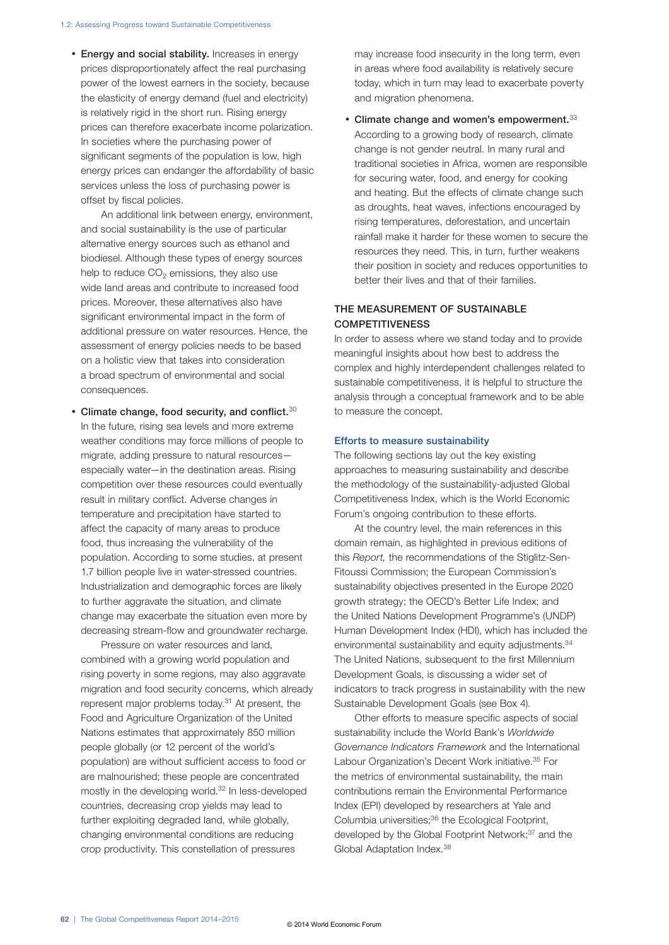• Energy and social stability. Increases in energy prices disproportionately affect the real purchasing power of the lowest earners in the society, because the elasticity of energy demand (fuel and electricity) is relatively rigid in the short run. Rising energy prices can therefore exacerbate income polarization. In societies where the purchasing power of significant segments of the population is low, high energy prices can endanger the affordability of basic services unless the loss of purchasing power is offset by fiscal policies.

An additional link between energy, environment, and social sustainability is the use of particular alternative energy sources such as ethanol and biodiesel. Although these types of energy sources help to reduce  $CO<sub>2</sub>$  emissions, they also use wide land areas and contribute to increased food prices. Moreover, these alternatives also have significant environmental impact in the form of additional pressure on water resources. Hence, the assessment of energy policies needs to be based on a holistic view that takes into consideration a broad spectrum of environmental and social consequences.

• Climate change, food security, and conflict. $30$ In the future, rising sea levels and more extreme weather conditions may force millions of people to migrate, adding pressure to natural resources especially water—in the destination areas. Rising competition over these resources could eventually result in military conflict. Adverse changes in temperature and precipitation have started to affect the capacity of many areas to produce food, thus increasing the vulnerability of the population. According to some studies, at present 1.7 billion people live in water-stressed countries. Industrialization and demographic forces are likely to further aggravate the situation, and climate change may exacerbate the situation even more by decreasing stream-flow and groundwater recharge.

Pressure on water resources and land, combined with a growing world population and rising poverty in some regions, may also aggravate migration and food security concerns, which already represent major problems today.31 At present, the Food and Agriculture Organization of the United Nations estimates that approximately 850 million people globally (or 12 percent of the world's population) are without sufficient access to food or are malnourished; these people are concentrated mostly in the developing world.32 In less-developed countries, decreasing crop yields may lead to further exploiting degraded land, while globally, changing environmental conditions are reducing crop productivity. This constellation of pressures

may increase food insecurity in the long term, even in areas where food availability is relatively secure today, which in turn may lead to exacerbate poverty and migration phenomena.

• Climate change and women's empowerment.  $33$ According to a growing body of research, climate change is not gender neutral. In many rural and traditional societies in Africa, women are responsible for securing water, food, and energy for cooking and heating. But the effects of climate change such as droughts, heat waves, infections encouraged by rising temperatures, deforestation, and uncertain rainfall make it harder for these women to secure the resources they need. This, in turn, further weakens their position in society and reduces opportunities to better their lives and that of their families.

### THE MEASUREMENT OF SUSTAINABLE **COMPETITIVENESS**

In order to assess where we stand today and to provide meaningful insights about how best to address the complex and highly interdependent challenges related to sustainable competitiveness, it is helpful to structure the analysis through a conceptual framework and to be able to measure the concept.

#### Efforts to measure sustainability

The following sections lay out the key existing approaches to measuring sustainability and describe the methodology of the sustainability-adjusted Global Competitiveness Index, which is the World Economic Forum's ongoing contribution to these efforts.

At the country level, the main references in this domain remain, as highlighted in previous editions of this *Report,* the recommendations of the Stiglitz-Sen-Fitoussi Commission; the European Commission's sustainability objectives presented in the Europe 2020 growth strategy; the OECD's Better Life Index; and the United Nations Development Programme's (UNDP) Human Development Index (HDI), which has included the environmental sustainability and equity adjustments.<sup>34</sup> The United Nations, subsequent to the first Millennium Development Goals, is discussing a wider set of indicators to track progress in sustainability with the new Sustainable Development Goals (see Box 4).

Other efforts to measure specific aspects of social sustainability include the World Bank's *Worldwide Governance Indicators Framework* and the International Labour Organization's Decent Work initiative.35 For the metrics of environmental sustainability, the main contributions remain the Environmental Performance Index (EPI) developed by researchers at Yale and Columbia universities;36 the Ecological Footprint, developed by the Global Footprint Network;<sup>37</sup> and the Global Adaptation Index.38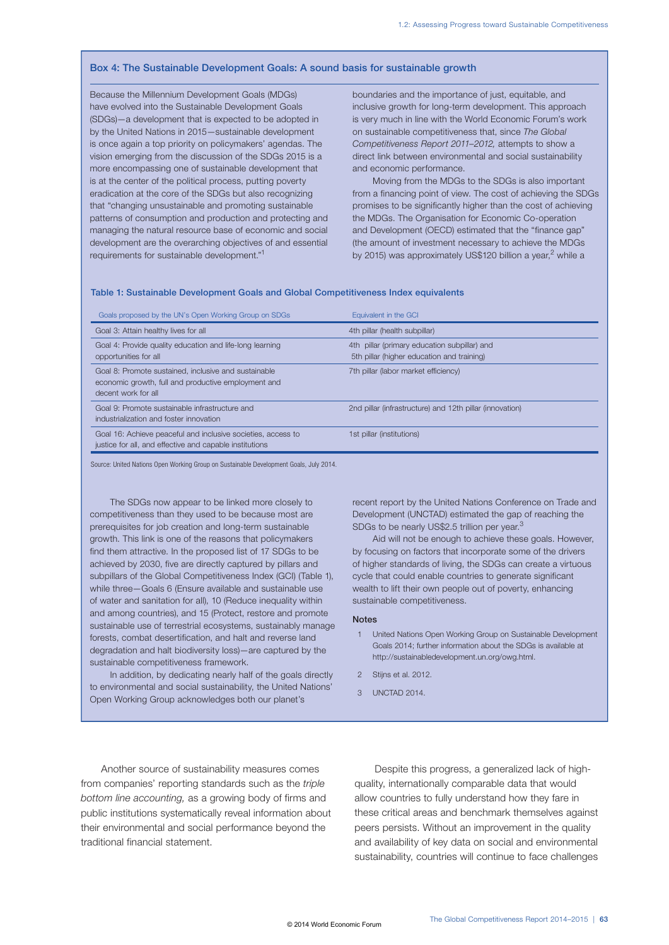#### Box 4: The Sustainable Development Goals: A sound basis for sustainable growth

Because the Millennium Development Goals (MDGs) have evolved into the Sustainable Development Goals (SDGs)—a development that is expected to be adopted in by the United Nations in 2015—sustainable development is once again a top priority on policymakers' agendas. The vision emerging from the discussion of the SDGs 2015 is a more encompassing one of sustainable development that is at the center of the political process, putting poverty eradication at the core of the SDGs but also recognizing that "changing unsustainable and promoting sustainable patterns of consumption and production and protecting and managing the natural resource base of economic and social development are the overarching objectives of and essential requirements for sustainable development."1

boundaries and the importance of just, equitable, and inclusive growth for long-term development. This approach is very much in line with the World Economic Forum's work on sustainable competitiveness that, since *The Global Competitiveness Report 2011–2012,* attempts to show a direct link between environmental and social sustainability and economic performance.

Moving from the MDGs to the SDGs is also important from a financing point of view. The cost of achieving the SDGs promises to be significantly higher than the cost of achieving the MDGs. The Organisation for Economic Co-operation and Development (OECD) estimated that the "finance gap" (the amount of investment necessary to achieve the MDGs by 2015) was approximately US\$120 billion a year, $^2$  while a

#### Table 1: Sustainable Development Goals and Global Competitiveness Index equivalents

| Goals proposed by the UN's Open Working Group on SDGs                                                                              | Equivalent in the GCI                                                                      |
|------------------------------------------------------------------------------------------------------------------------------------|--------------------------------------------------------------------------------------------|
| Goal 3: Attain healthy lives for all                                                                                               | 4th pillar (health subpillar)                                                              |
| Goal 4: Provide quality education and life-long learning<br>opportunities for all                                                  | 4th pillar (primary education subpillar) and<br>5th pillar (higher education and training) |
| Goal 8: Promote sustained, inclusive and sustainable<br>economic growth, full and productive employment and<br>decent work for all | 7th pillar (labor market efficiency)                                                       |
| Goal 9: Promote sustainable infrastructure and<br>industrialization and foster innovation                                          | 2nd pillar (infrastructure) and 12th pillar (innovation)                                   |
| Goal 16: Achieve peaceful and inclusive societies, access to<br>justice for all, and effective and capable institutions            | 1st pillar (institutions)                                                                  |

Source: United Nations Open Working Group on Sustainable Development Goals, July 2014.

The SDGs now appear to be linked more closely to competitiveness than they used to be because most are prerequisites for job creation and long-term sustainable growth. This link is one of the reasons that policymakers find them attractive. In the proposed list of 17 SDGs to be achieved by 2030, five are directly captured by pillars and subpillars of the Global Competitiveness Index (GCI) (Table 1), while three—Goals 6 (Ensure available and sustainable use of water and sanitation for all), 10 (Reduce inequality within and among countries), and 15 (Protect, restore and promote sustainable use of terrestrial ecosystems, sustainably manage forests, combat desertification, and halt and reverse land degradation and halt biodiversity loss)—are captured by the sustainable competitiveness framework.

In addition, by dedicating nearly half of the goals directly to environmental and social sustainability, the United Nations' Open Working Group acknowledges both our planet's

recent report by the United Nations Conference on Trade and Development (UNCTAD) estimated the gap of reaching the SDGs to be nearly US\$2.5 trillion per year.<sup>3</sup>

Aid will not be enough to achieve these goals. However, by focusing on factors that incorporate some of the drivers of higher standards of living, the SDGs can create a virtuous cycle that could enable countries to generate significant wealth to lift their own people out of poverty, enhancing sustainable competitiveness.

#### Notes

- 1 United Nations Open Working Group on Sustainable Development Goals 2014; further information about the SDGs is available at http://sustainabledevelopment.un.org/owg.html.
- 2 Stijns et al. 2012.
- 3 UNCTAD 2014.

Another source of sustainability measures comes from companies' reporting standards such as the *triple bottom line accounting,* as a growing body of firms and public institutions systematically reveal information about their environmental and social performance beyond the traditional financial statement.

Despite this progress, a generalized lack of highquality, internationally comparable data that would allow countries to fully understand how they fare in these critical areas and benchmark themselves against peers persists. Without an improvement in the quality and availability of key data on social and environmental sustainability, countries will continue to face challenges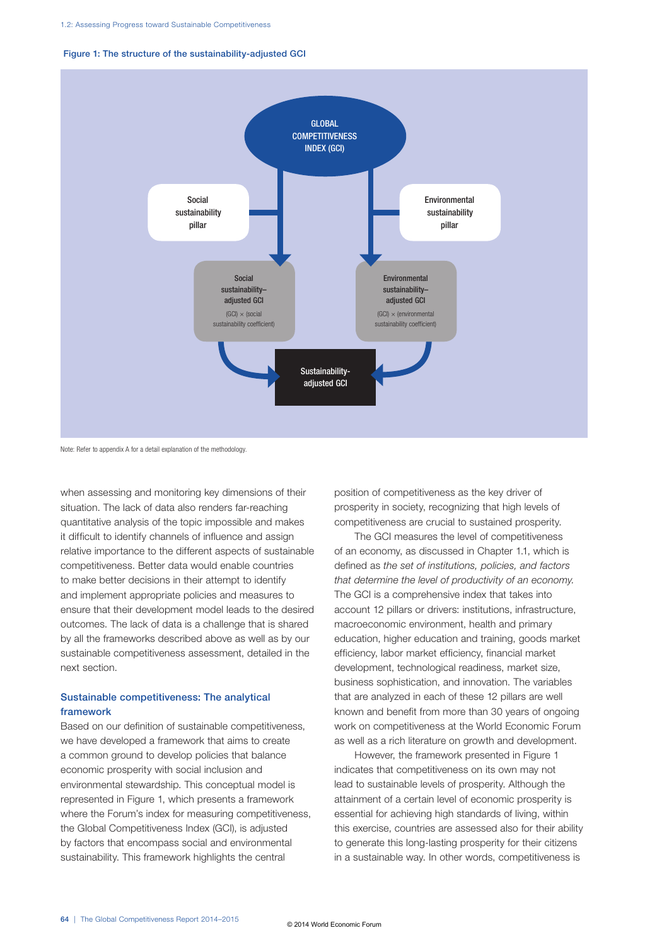



Note: Refer to appendix A for a detail explanation of the methodology.

when assessing and monitoring key dimensions of their situation. The lack of data also renders far-reaching quantitative analysis of the topic impossible and makes it difficult to identify channels of influence and assign relative importance to the different aspects of sustainable competitiveness. Better data would enable countries to make better decisions in their attempt to identify and implement appropriate policies and measures to ensure that their development model leads to the desired outcomes. The lack of data is a challenge that is shared by all the frameworks described above as well as by our sustainable competitiveness assessment, detailed in the next section.

### Sustainable competitiveness: The analytical framework

Based on our definition of sustainable competitiveness, we have developed a framework that aims to create a common ground to develop policies that balance economic prosperity with social inclusion and environmental stewardship. This conceptual model is represented in Figure 1, which presents a framework where the Forum's index for measuring competitiveness, the Global Competitiveness Index (GCI), is adjusted by factors that encompass social and environmental sustainability. This framework highlights the central

position of competitiveness as the key driver of prosperity in society, recognizing that high levels of competitiveness are crucial to sustained prosperity.

The GCI measures the level of competitiveness of an economy, as discussed in Chapter 1.1, which is defined as *the set of institutions, policies, and factors that determine the level of productivity of an economy.* The GCI is a comprehensive index that takes into account 12 pillars or drivers: institutions, infrastructure, macroeconomic environment, health and primary education, higher education and training, goods market efficiency, labor market efficiency, financial market development, technological readiness, market size, business sophistication, and innovation. The variables that are analyzed in each of these 12 pillars are well known and benefit from more than 30 years of ongoing work on competitiveness at the World Economic Forum as well as a rich literature on growth and development.

However, the framework presented in Figure 1 indicates that competitiveness on its own may not lead to sustainable levels of prosperity. Although the attainment of a certain level of economic prosperity is essential for achieving high standards of living, within this exercise, countries are assessed also for their ability to generate this long-lasting prosperity for their citizens in a sustainable way. In other words, competitiveness is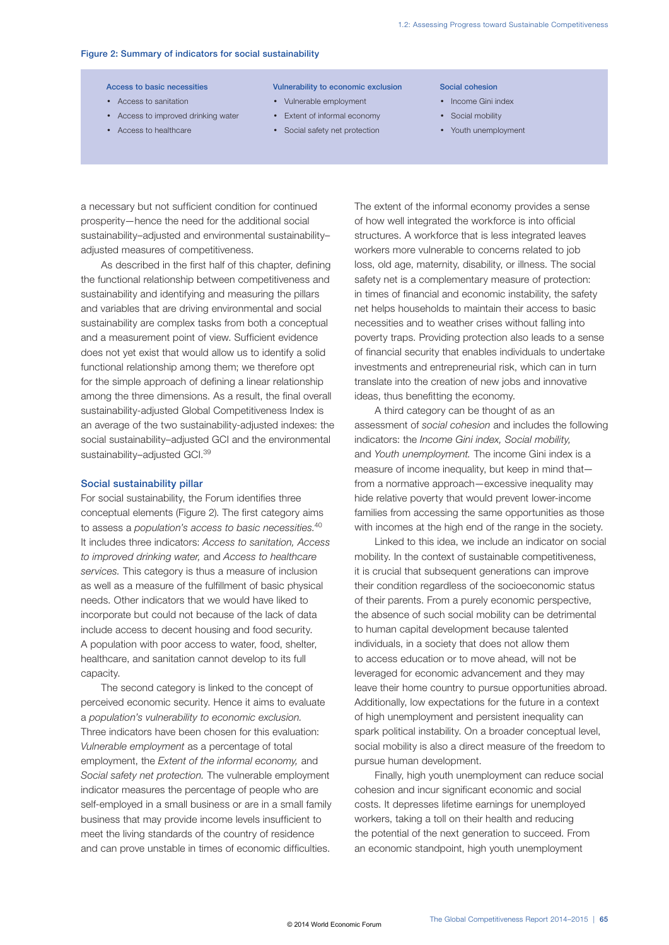#### Figure 2: Summary of indicators for social sustainability

- Access to sanitation
- Access to improved drinking water
- Access to healthcare
- Access to basic necessities **Vulnerability to economic exclusion** Social cohesion
	- Vulnerable employment
	- Extent of informal economy
	- Social safety net protection
- 
- Income Gini index
- Social mobility
- Youth unemployment

a necessary but not sufficient condition for continued prosperity—hence the need for the additional social sustainability–adjusted and environmental sustainability– adjusted measures of competitiveness.

As described in the first half of this chapter, defining the functional relationship between competitiveness and sustainability and identifying and measuring the pillars and variables that are driving environmental and social sustainability are complex tasks from both a conceptual and a measurement point of view. Sufficient evidence does not yet exist that would allow us to identify a solid functional relationship among them; we therefore opt for the simple approach of defining a linear relationship among the three dimensions. As a result, the final overall sustainability-adjusted Global Competitiveness Index is an average of the two sustainability-adjusted indexes: the social sustainability–adjusted GCI and the environmental sustainability–adjusted GCI.39

#### Social sustainability pillar

For social sustainability, the Forum identifies three conceptual elements (Figure 2). The first category aims to assess a *population's access to basic necessities.*<sup>40</sup> It includes three indicators: *Access to sanitation, Access to improved drinking water,* and *Access to healthcare services.* This category is thus a measure of inclusion as well as a measure of the fulfillment of basic physical needs. Other indicators that we would have liked to incorporate but could not because of the lack of data include access to decent housing and food security. A population with poor access to water, food, shelter, healthcare, and sanitation cannot develop to its full capacity.

The second category is linked to the concept of perceived economic security. Hence it aims to evaluate a *population's vulnerability to economic exclusion.* Three indicators have been chosen for this evaluation: *Vulnerable employment* as a percentage of total employment, the *Extent of the informal economy,* and *Social safety net protection.* The vulnerable employment indicator measures the percentage of people who are self-employed in a small business or are in a small family business that may provide income levels insufficient to meet the living standards of the country of residence and can prove unstable in times of economic difficulties.

The extent of the informal economy provides a sense of how well integrated the workforce is into official structures. A workforce that is less integrated leaves workers more vulnerable to concerns related to job loss, old age, maternity, disability, or illness. The social safety net is a complementary measure of protection: in times of financial and economic instability, the safety net helps households to maintain their access to basic necessities and to weather crises without falling into poverty traps. Providing protection also leads to a sense of financial security that enables individuals to undertake investments and entrepreneurial risk, which can in turn translate into the creation of new jobs and innovative ideas, thus benefitting the economy.

A third category can be thought of as an assessment of *social cohesion* and includes the following indicators: the *Income Gini index, Social mobility,* and *Youth unemployment.* The income Gini index is a measure of income inequality, but keep in mind that from a normative approach—excessive inequality may hide relative poverty that would prevent lower-income families from accessing the same opportunities as those with incomes at the high end of the range in the society.

Linked to this idea, we include an indicator on social mobility. In the context of sustainable competitiveness, it is crucial that subsequent generations can improve their condition regardless of the socioeconomic status of their parents. From a purely economic perspective, the absence of such social mobility can be detrimental to human capital development because talented individuals, in a society that does not allow them to access education or to move ahead, will not be leveraged for economic advancement and they may leave their home country to pursue opportunities abroad. Additionally, low expectations for the future in a context of high unemployment and persistent inequality can spark political instability. On a broader conceptual level, social mobility is also a direct measure of the freedom to pursue human development.

Finally, high youth unemployment can reduce social cohesion and incur significant economic and social costs. It depresses lifetime earnings for unemployed workers, taking a toll on their health and reducing the potential of the next generation to succeed. From an economic standpoint, high youth unemployment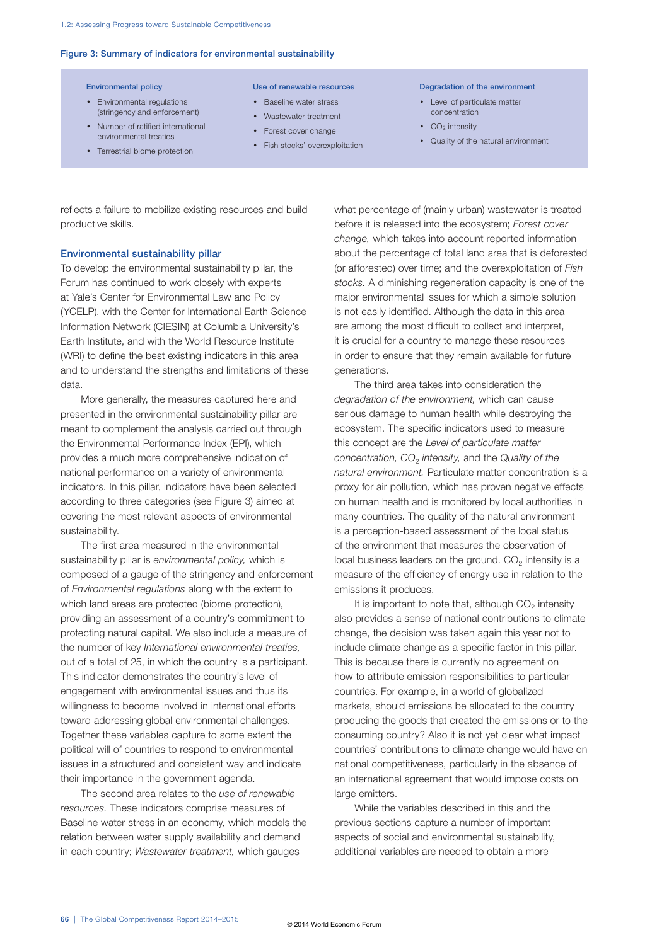#### Figure 3: Summary of indicators for environmental sustainability

- Environmental regulations (stringency and enforcement)
- Number of ratified international environmental treaties
- Terrestrial biome protection

- Baseline water stress
- Wastewater treatment
- Forest cover change
- Fish stocks' overexploitation
- Environmental policy Use of renewable resources Degradation of the environment
	- Level of particulate matter concentration
	- $\cdot$  CO<sub>2</sub> intensity
	- Quality of the natural environment

reflects a failure to mobilize existing resources and build productive skills.

#### Environmental sustainability pillar

To develop the environmental sustainability pillar, the Forum has continued to work closely with experts at Yale's Center for Environmental Law and Policy (YCELP), with the Center for International Earth Science Information Network (CIESIN) at Columbia University's Earth Institute, and with the World Resource Institute (WRI) to define the best existing indicators in this area and to understand the strengths and limitations of these data.

More generally, the measures captured here and presented in the environmental sustainability pillar are meant to complement the analysis carried out through the Environmental Performance Index (EPI), which provides a much more comprehensive indication of national performance on a variety of environmental indicators. In this pillar, indicators have been selected according to three categories (see Figure 3) aimed at covering the most relevant aspects of environmental sustainability.

The first area measured in the environmental sustainability pillar is *environmental policy,* which is composed of a gauge of the stringency and enforcement of *Environmental regulations* along with the extent to which land areas are protected (biome protection), providing an assessment of a country's commitment to protecting natural capital. We also include a measure of the number of key *International environmental treaties,* out of a total of 25, in which the country is a participant. This indicator demonstrates the country's level of engagement with environmental issues and thus its willingness to become involved in international efforts toward addressing global environmental challenges. Together these variables capture to some extent the political will of countries to respond to environmental issues in a structured and consistent way and indicate their importance in the government agenda.

The second area relates to the *use of renewable resources.* These indicators comprise measures of Baseline water stress in an economy, which models the relation between water supply availability and demand in each country; *Wastewater treatment,* which gauges

what percentage of (mainly urban) wastewater is treated before it is released into the ecosystem; *Forest cover change,* which takes into account reported information about the percentage of total land area that is deforested (or afforested) over time; and the overexploitation of *Fish stocks.* A diminishing regeneration capacity is one of the major environmental issues for which a simple solution is not easily identified. Although the data in this area are among the most difficult to collect and interpret, it is crucial for a country to manage these resources in order to ensure that they remain available for future generations.

The third area takes into consideration the *degradation of the environment,* which can cause serious damage to human health while destroying the ecosystem. The specific indicators used to measure this concept are the *Level of particulate matter concentration, CO*2 *intensity,* and the *Quality of the natural environment.* Particulate matter concentration is a proxy for air pollution, which has proven negative effects on human health and is monitored by local authorities in many countries. The quality of the natural environment is a perception-based assessment of the local status of the environment that measures the observation of local business leaders on the ground.  $CO<sub>2</sub>$  intensity is a measure of the efficiency of energy use in relation to the emissions it produces.

It is important to note that, although  $CO<sub>2</sub>$  intensity also provides a sense of national contributions to climate change, the decision was taken again this year not to include climate change as a specific factor in this pillar. This is because there is currently no agreement on how to attribute emission responsibilities to particular countries. For example, in a world of globalized markets, should emissions be allocated to the country producing the goods that created the emissions or to the consuming country? Also it is not yet clear what impact countries' contributions to climate change would have on national competitiveness, particularly in the absence of an international agreement that would impose costs on large emitters.

While the variables described in this and the previous sections capture a number of important aspects of social and environmental sustainability, additional variables are needed to obtain a more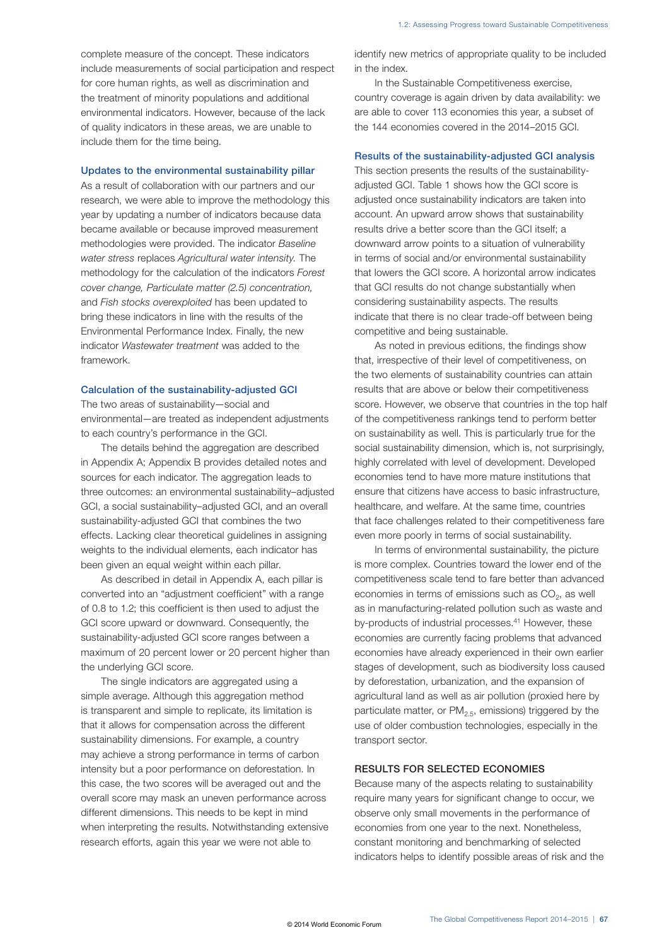complete measure of the concept. These indicators include measurements of social participation and respect for core human rights, as well as discrimination and the treatment of minority populations and additional environmental indicators. However, because of the lack of quality indicators in these areas, we are unable to include them for the time being.

#### Updates to the environmental sustainability pillar

As a result of collaboration with our partners and our research, we were able to improve the methodology this year by updating a number of indicators because data became available or because improved measurement methodologies were provided. The indicator *Baseline water stress* replaces *Agricultural water intensity.* The methodology for the calculation of the indicators *Forest cover change, Particulate matter (2.5) concentration,* and *Fish stocks overexploited* has been updated to bring these indicators in line with the results of the Environmental Performance Index. Finally, the new indicator *Wastewater treatment* was added to the framework.

#### Calculation of the sustainability-adjusted GCI

The two areas of sustainability—social and environmental—are treated as independent adjustments to each country's performance in the GCI.

The details behind the aggregation are described in Appendix A; Appendix B provides detailed notes and sources for each indicator. The aggregation leads to three outcomes: an environmental sustainability–adjusted GCI, a social sustainability–adjusted GCI, and an overall sustainability-adjusted GCI that combines the two effects. Lacking clear theoretical guidelines in assigning weights to the individual elements, each indicator has been given an equal weight within each pillar.

As described in detail in Appendix A, each pillar is converted into an "adjustment coefficient" with a range of 0.8 to 1.2; this coefficient is then used to adjust the GCI score upward or downward. Consequently, the sustainability-adjusted GCI score ranges between a maximum of 20 percent lower or 20 percent higher than the underlying GCI score.

The single indicators are aggregated using a simple average. Although this aggregation method is transparent and simple to replicate, its limitation is that it allows for compensation across the different sustainability dimensions. For example, a country may achieve a strong performance in terms of carbon intensity but a poor performance on deforestation. In this case, the two scores will be averaged out and the overall score may mask an uneven performance across different dimensions. This needs to be kept in mind when interpreting the results. Notwithstanding extensive research efforts, again this year we were not able to

identify new metrics of appropriate quality to be included in the index.

In the Sustainable Competitiveness exercise, country coverage is again driven by data availability: we are able to cover 113 economies this year, a subset of the 144 economies covered in the 2014–2015 GCI.

#### Results of the sustainability-adjusted GCI analysis

This section presents the results of the sustainabilityadjusted GCI. Table 1 shows how the GCI score is adjusted once sustainability indicators are taken into account. An upward arrow shows that sustainability results drive a better score than the GCI itself; a downward arrow points to a situation of vulnerability in terms of social and/or environmental sustainability that lowers the GCI score. A horizontal arrow indicates that GCI results do not change substantially when considering sustainability aspects. The results indicate that there is no clear trade-off between being competitive and being sustainable.

As noted in previous editions, the findings show that, irrespective of their level of competitiveness, on the two elements of sustainability countries can attain results that are above or below their competitiveness score. However, we observe that countries in the top half of the competitiveness rankings tend to perform better on sustainability as well. This is particularly true for the social sustainability dimension, which is, not surprisingly, highly correlated with level of development. Developed economies tend to have more mature institutions that ensure that citizens have access to basic infrastructure, healthcare, and welfare. At the same time, countries that face challenges related to their competitiveness fare even more poorly in terms of social sustainability.

In terms of environmental sustainability, the picture is more complex. Countries toward the lower end of the competitiveness scale tend to fare better than advanced economies in terms of emissions such as  $CO<sub>2</sub>$ , as well as in manufacturing-related pollution such as waste and by-products of industrial processes.<sup>41</sup> However, these economies are currently facing problems that advanced economies have already experienced in their own earlier stages of development, such as biodiversity loss caused by deforestation, urbanization, and the expansion of agricultural land as well as air pollution (proxied here by particulate matter, or  $PM<sub>2.5</sub>$ , emissions) triggered by the use of older combustion technologies, especially in the transport sector.

### RESULTS FOR SELECTED ECONOMIES

Because many of the aspects relating to sustainability require many years for significant change to occur, we observe only small movements in the performance of economies from one year to the next. Nonetheless, constant monitoring and benchmarking of selected indicators helps to identify possible areas of risk and the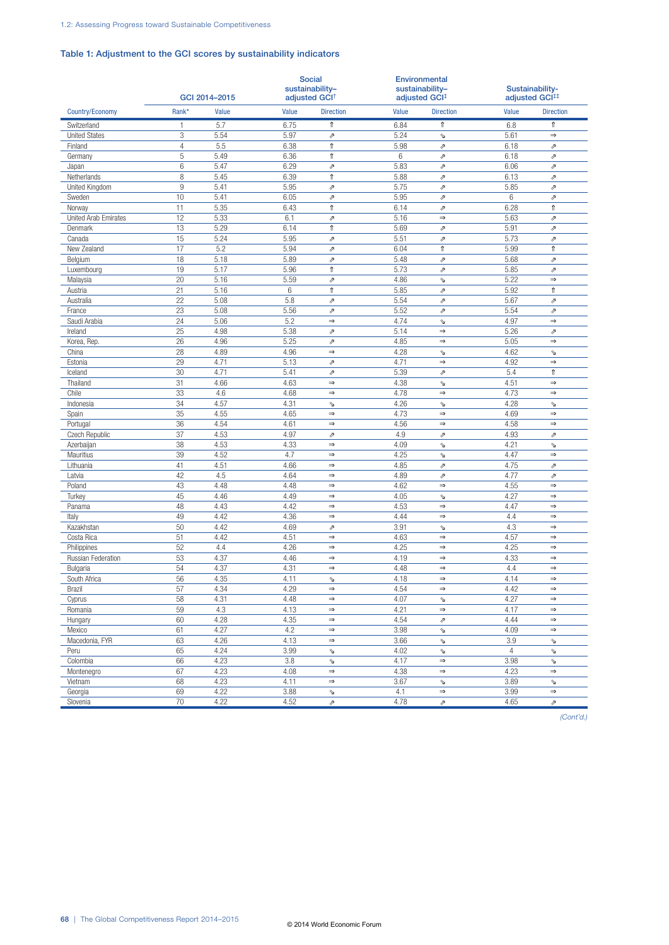### Table 1: Adjustment to the GCI scores by sustainability indicators

|                      |                 | GCI 2014-2015 | <b>Social</b><br>sustainability-<br>adjusted GCI <sup>+</sup> |                          |       | Environmental<br>sustainability-<br>adjusted GCI <sup>‡</sup> |                | Sustainability-<br>adjusted GCI## |  |
|----------------------|-----------------|---------------|---------------------------------------------------------------|--------------------------|-------|---------------------------------------------------------------|----------------|-----------------------------------|--|
| Country/Economy      | Rank*           | Value         | Value                                                         | <b>Direction</b>         | Value | <b>Direction</b>                                              | Value          | <b>Direction</b>                  |  |
| Switzerland          | 1               | 5.7           | 6.75                                                          | ⇑                        | 6.84  | ⇑                                                             | 6.8            | ⇑                                 |  |
| <b>United States</b> | 3               | 5.54          | 5.97                                                          | $\overline{\mathcal{P}}$ | 5.24  | À                                                             | 5.61           | $\Rightarrow$                     |  |
| Finland              | $\overline{4}$  | 5.5           | 6.38                                                          | $\Uparrow$               | 5.98  | $\overline{\mathcal{P}}$                                      | 6.18           | $\overline{\mathcal{P}}$          |  |
| Germany              | 5               | 5.49          | 6.36                                                          | $^\Uparrow$              | 6     | $\overline{\mathcal{P}}$                                      | 6.18           | $\overline{\mathcal{P}}$          |  |
| Japan                | $6\,$           | 5.47          | 6.29                                                          | $\overline{\mathcal{P}}$ | 5.83  | ⇗                                                             | 6.06           | $\overline{\mathcal{P}}$          |  |
| Netherlands          | 8               | 5.45          | 6.39                                                          | $^\Uparrow$              | 5.88  | ⇗                                                             | 6.13           | $\boldsymbol{\nearrow}$           |  |
| United Kingdom       | 9               | 5.41          | 5.95                                                          | $\overline{\mathcal{P}}$ | 5.75  | Þ                                                             | 5.85           | $\overline{\mathcal{P}}$          |  |
| Sweden               | 10              | 5.41          | 6.05                                                          | $\overline{\mathcal{P}}$ | 5.95  | $\overline{\mathcal{P}}$                                      | 6              | $\boldsymbol{\nearrow}$           |  |
| Norway               | 11              | 5.35          | 6.43                                                          | ⇑                        | 6.14  | ⇗                                                             | 6.28           | ⇑                                 |  |
| United Arab Emirates | 12              | 5.33          | 6.1                                                           | $\boldsymbol{\nearrow}$  | 5.16  | $\Rightarrow$                                                 | 5.63           | $\boldsymbol{\nearrow}$           |  |
| Denmark              | 13              | 5.29          | 6.14                                                          | $^\Uparrow$              | 5.69  | $\overline{\mathcal{P}}$                                      | 5.91           | $\boldsymbol{\nearrow}$           |  |
| Canada               | 15              | 5.24          | 5.95                                                          | $\overline{\mathcal{P}}$ | 5.51  | ↗                                                             | 5.73           | $\overline{\mathcal{P}}$          |  |
| New Zealand          | 17              | 5.2           | 5.94                                                          | グ                        | 6.04  | $\uparrow$                                                    | 5.99           | $\hat{\mathbb{r}}$                |  |
| Belgium              | 18              | 5.18          | 5.89                                                          | グ                        | 5.48  | $\overline{\mathcal{P}}$                                      | 5.68           | $\overline{\mathcal{P}}$          |  |
| Luxembourg           | 19              | 5.17          | 5.96                                                          | $\Uparrow$               | 5.73  | ⇗                                                             | 5.85           | $\boldsymbol{\nearrow}$           |  |
| Malaysia             | $\overline{20}$ | 5.16          | 5.59                                                          | Þ                        | 4.86  | Ź                                                             | 5.22           | $\Rightarrow$                     |  |
| Austria              | $\overline{21}$ | 5.16          | $6\,$                                                         | $\Uparrow$               | 5.85  | ⇗                                                             | 5.92           | $^\uparrow$                       |  |
| Australia            | 22              | 5.08          | 5.8                                                           | $\overline{\mathcal{P}}$ | 5.54  | $\overline{\mathcal{P}}$                                      | 5.67           | $\boldsymbol{\nearrow}$           |  |
| France               | 23              | 5.08          | 5.56                                                          | $\overline{\mathcal{P}}$ | 5.52  | ⇗                                                             | 5.54           | $\boldsymbol{\mathcal{P}}$        |  |
| Saudi Arabia         | $\overline{24}$ | 5.06          | 5.2                                                           | $\Rightarrow$            | 4.74  | Ý                                                             | 4.97           | $\Rightarrow$                     |  |
| Ireland              | 25              | 4.98          | 5.38                                                          | $\overline{\mathcal{P}}$ | 5.14  | $\Rightarrow$                                                 | 5.26           | $\overline{\mathcal{P}}$          |  |
| Korea, Rep.          | 26              | 4.96          | 5.25                                                          | $\overline{\mathcal{P}}$ | 4.85  | $\Rightarrow$                                                 | 5.05           | $\Rightarrow$                     |  |
| China                | 28              | 4.89          | 4.96                                                          | $\Rightarrow$            | 4.28  | Þ                                                             | 4.62           | $\checkmark$                      |  |
| Estonia              | 29              | 4.71          | 5.13                                                          | $\overline{\mathcal{P}}$ | 4.71  | $\Rightarrow$                                                 | 4.92           | $\Rightarrow$                     |  |
| Iceland              | 30              | 4.71          | 5.41                                                          | $\overline{\mathcal{P}}$ | 5.39  | $\overline{\mathcal{P}}$                                      | 5.4            | ⇑                                 |  |
| Thailand             | 31              | 4.66          | 4.63                                                          | $\Rightarrow$            | 4.38  | Ý                                                             | 4.51           | $\Rightarrow$                     |  |
| Chile                | 33              | 4.6           | 4.68                                                          | $\Rightarrow$            | 4.78  | $\Rightarrow$                                                 | 4.73           | $\Rightarrow$                     |  |
| Indonesia            | 34              | 4.57          | 4.31                                                          | Þ                        | 4.26  | Ý                                                             | 4.28           | $\checkmark$                      |  |
| Spain                | 35              | 4.55          | 4.65                                                          | $\Rightarrow$            | 4.73  | $\Rightarrow$                                                 | 4.69           | $\Rightarrow$                     |  |
| Portugal             | 36              | 4.54          | 4.61                                                          | $\Rightarrow$            | 4.56  | $\Rightarrow$                                                 | 4.58           | $\Rightarrow$                     |  |
| Czech Republic       | 37              | 4.53          | 4.97                                                          | $\overline{\mathcal{P}}$ | 4.9   | ⇗                                                             | 4.93           | $\boldsymbol{\mathcal{P}}$        |  |
| Azerbaijan           | 38              | 4.53          | 4.33                                                          | $\Rightarrow$            | 4.09  | À                                                             | 4.21           | $\checkmark$                      |  |
| Mauritius            | 39              | 4.52          | 4.7                                                           | $\Rightarrow$            | 4.25  | ý                                                             | 4.47           | $\Rightarrow$                     |  |
| Lithuania            | 41              | 4.51          | 4.66                                                          | $\Rightarrow$            | 4.85  | ⇗                                                             | 4.75           | $\boldsymbol{\nearrow}$           |  |
| Latvia               | 42              | 4.5           | 4.64                                                          | $\Rightarrow$            | 4.89  | ⇗                                                             | 4.77           | $\boldsymbol{\mathcal{P}}$        |  |
| Poland               | 43              | 4.48          | 4.48                                                          | $\Rightarrow$            | 4.62  | $\Rightarrow$                                                 | 4.55           | $\Rightarrow$                     |  |
| Turkey               | 45              | 4.46          | 4.49                                                          | $\Rightarrow$            | 4.05  | Ý                                                             | 4.27           | $\Rightarrow$                     |  |
| Panama               | 48              | 4.43          | 4.42                                                          | $\Rightarrow$            | 4.53  | $\Rightarrow$                                                 | 4.47           | $\Rightarrow$                     |  |
| Italy                | 49              | 4.42          | 4.36                                                          | $\Rightarrow$            | 4.44  | $\Rightarrow$                                                 | 4.4            | $\Rightarrow$                     |  |
| Kazakhstan           | 50              | 4.42          | 4.69                                                          | $\overline{\mathcal{P}}$ | 3.91  | À                                                             | 4.3            | $\Rightarrow$                     |  |
| Costa Rica           | 51              | 4.42          | 4.51                                                          | $\Rightarrow$            | 4.63  | $\Rightarrow$                                                 | 4.57           | $\Rightarrow$                     |  |
| Philippines          | 52              | 4.4           | 4.26                                                          | $\Rightarrow$            | 4.25  | $\Rightarrow$                                                 | 4.25           | $\Rightarrow$                     |  |
| Russian Federation   | 53              | 4.37          | 4.46                                                          | $\Rightarrow$            | 4.19  | $\Rightarrow$                                                 | 4.33           | $\Rightarrow$                     |  |
| Bulgaria             | 54              | 4.37          | 4.31                                                          | $\Rightarrow$            | 4.48  | $\Rightarrow$                                                 | 4.4            | $\Rightarrow$                     |  |
| South Africa         | 56              | 4.35          | 4.11                                                          | ⇘                        | 4.18  | $\Rightarrow$                                                 | 4.14           | $\Rightarrow$                     |  |
| Brazil               | 57              | 4.34          | 4.29                                                          | $\Rightarrow$            | 4.54  | $\Rightarrow$                                                 | 4.42           | $\Rightarrow$                     |  |
| Cyprus               | 58              | 4.31          | 4.48                                                          | $\Rightarrow$            | 4.07  | Þ                                                             | 4.27           | $\Rightarrow$                     |  |
| Romania              | 59              | 4.3           | 4.13                                                          | $\Rightarrow$            | 4.21  | $\Rightarrow$                                                 | 4.17           | $\Rightarrow$                     |  |
| Hungary              | 60              | 4.28          | 4.35                                                          | $\Rightarrow$            | 4.54  | ⇗                                                             | 4.44           | $\Rightarrow$                     |  |
| Mexico               | 61              | 4.27          | 4.2                                                           | $\Rightarrow$            | 3.98  | Þ                                                             | 4.09           | $\Rightarrow$                     |  |
| Macedonia, FYR       | 63              | 4.26          | 4.13                                                          | $\Rightarrow$            | 3.66  | À                                                             | 3.9            | Α                                 |  |
| Peru                 | 65              | 4.24          | 3.99                                                          | $\Delta$                 | 4.02  | Ý                                                             | $\overline{4}$ | $\check{\mathbf{r}}$              |  |
| Colombia             | 66              | 4.23          | 3.8                                                           | $\Delta$                 | 4.17  | $\Rightarrow$                                                 | 3.98           | $\check{\mathbf{r}}$              |  |
| Montenegro           | 67              | 4.23          | 4.08                                                          | $\Rightarrow$            | 4.38  | $\Rightarrow$                                                 | 4.23           | $\Rightarrow$                     |  |
| Vietnam              | 68              | 4.23          | 4.11                                                          | $\Rightarrow$            | 3.67  | Þ                                                             | 3.89           | $\Delta$                          |  |
| Georgia              | 69              | 4.22          | 3.88                                                          | Þ                        | 4.1   | $\Rightarrow$                                                 | 3.99           | $\Rightarrow$                     |  |
| Slovenia             | 70              | 4.22          | 4.52                                                          | $\overline{\mathcal{P}}$ | 4.78  | ↗                                                             | 4.65           | $\boldsymbol{\nearrow}$           |  |

*(Cont'd.)*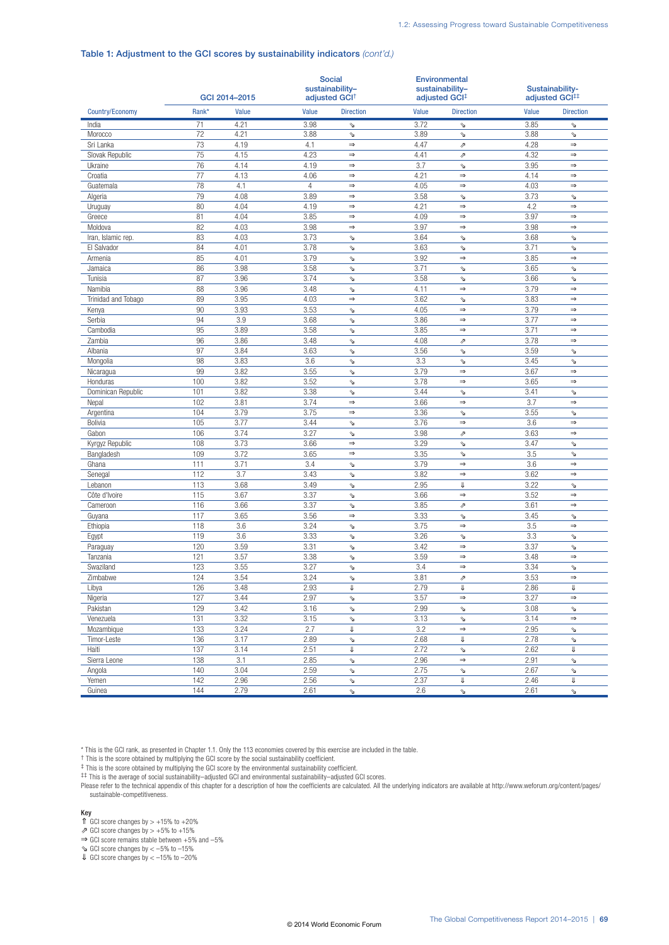#### Table 1: Adjustment to the GCI scores by sustainability indicators *(cont'd.)*

|                             |            | GCI 2014-2015 |                | <b>Social</b><br>sustainability-<br>adjusted GCI <sup>+</sup> |              | Environmental<br>sustainability-<br>adjusted GCI <sup>‡</sup> |             | Sustainability-<br>adjusted GCI <sup>#</sup> |  |
|-----------------------------|------------|---------------|----------------|---------------------------------------------------------------|--------------|---------------------------------------------------------------|-------------|----------------------------------------------|--|
| Country/Economy             | Rank*      | Value         | Value          | <b>Direction</b>                                              | Value        | <b>Direction</b>                                              | Value       | <b>Direction</b>                             |  |
| India                       | 71         | 4.21          | 3.98           | ⇘                                                             | 3.72         | Ý                                                             | 3.85        | ⇘                                            |  |
| Morocco                     | 72         | 4.21          | 3.88           | Ý                                                             | 3.89         | V                                                             | 3.88        | Þ                                            |  |
| Sri Lanka                   | 73         | 4.19          | 4.1            | $\Rightarrow$                                                 | 4.47         |                                                               | 4.28        | $\Rightarrow$                                |  |
| Slovak Republic             | 75         | 4.15          | 4.23           | $\Rightarrow$                                                 | 4.41         | ⇗                                                             | 4.32        | $\Rightarrow$                                |  |
| Ukraine                     | 76         | 4.14          | 4.19           | $\Rightarrow$                                                 | 3.7          | Ý                                                             | 3.95        | $\Rightarrow$                                |  |
| Croatia                     | 77         | 4.13          | 4.06           | $\Rightarrow$                                                 | 4.21         | $\Rightarrow$                                                 | 4.14        | $\Rightarrow$                                |  |
| Guatemala                   | 78         | 4.1           | $\overline{4}$ | $\Rightarrow$                                                 | 4.05         | $\Rightarrow$                                                 | 4.03        | $\Rightarrow$                                |  |
| Algeria                     | 79         | 4.08          | 3.89           | $\Rightarrow$                                                 | 3.58         | A                                                             | 3.73        | Þ                                            |  |
| Uruguay                     | 80         | 4.04          | 4.19           | $\Rightarrow$                                                 | 4.21         | $\Rightarrow$                                                 | 4.2         | $\Rightarrow$                                |  |
| Greece                      | 81         | 4.04          | 3.85           | $\Rightarrow$                                                 | 4.09         | $\Rightarrow$                                                 | 3.97        | $\Rightarrow$                                |  |
| Moldova                     | 82         | 4.03          | 3.98           | $\Rightarrow$                                                 | 3.97         | $\Rightarrow$                                                 | 3.98        | $\Rightarrow$                                |  |
| Iran, Islamic rep.          | 83         | 4.03          | 3.73           | Þ                                                             | 3.64         | A                                                             | 3.68        | Þ                                            |  |
| El Salvador                 | 84         | 4.01          | 3.78           | Þ                                                             | 3.63         | Á                                                             | 3.71        | Þ                                            |  |
| Armenia                     | 85         | 4.01          | 3.79           | Ý                                                             | 3.92         | $\Rightarrow$                                                 | 3.85        | $\Rightarrow$                                |  |
| Jamaica                     | 86         | 3.98          | 3.58           | ⇘                                                             | 3.71         | A                                                             | 3.65        | Þ                                            |  |
| Tunisia                     | 87         | 3.96          | 3.74           | Ý                                                             | 3.58         | $\epsilon$                                                    | 3.66        | $\Delta$                                     |  |
| Namibia                     | 88         | 3.96          | 3.48           | Þ                                                             | 4.11         | $\Rightarrow$                                                 | 3.79        | $\Rightarrow$                                |  |
| Trinidad and Tobago         | 89         | 3.95          | 4.03           | $\Rightarrow$                                                 | 3.62         | $\tilde{\mathcal{A}}$                                         | 3.83        | $\Rightarrow$                                |  |
| Kenya                       | 90         | 3.93          | 3.53           | Ý                                                             | 4.05         | $\Rightarrow$                                                 | 3.79        | $\Rightarrow$                                |  |
| Serbia                      | 94         | 3.9           | 3.68           | Ý                                                             | 3.86         | $\Rightarrow$                                                 | 3.77        | $\Rightarrow$                                |  |
| Cambodia                    | 95         | 3.89          | 3.58           | Þ                                                             | 3.85         | $\Rightarrow$                                                 | 3.71        | $\Rightarrow$                                |  |
| Zambia                      | 96         | 3.86          | 3.48           | Þ                                                             | 4.08         | グ                                                             | 3.78        | $\Rightarrow$                                |  |
| Albania                     | 97         | 3.84          | 3.63           | Ý                                                             | 3.56         | Ą                                                             | 3.59        | Þ                                            |  |
| Mongolia                    | 98         | 3.83          | 3.6            | ⇘                                                             | 3.3          | V                                                             | 3.45        | $\Delta$                                     |  |
|                             | 99         | 3.82          | 3.55           |                                                               | 3.79         | $\Rightarrow$                                                 | 3.67        | $\Rightarrow$                                |  |
| Nicaragua<br>Honduras       | 100        | 3.82          | 3.52           | Ý                                                             | 3.78         | $\Rightarrow$                                                 | 3.65        | $\Rightarrow$                                |  |
| Dominican Republic          | 101        | 3.82          | 3.38           | Ý                                                             | 3.44         |                                                               | 3.41        |                                              |  |
| Nepal                       | 102        | 3.81          | 3.74           | Ý<br>$\Rightarrow$                                            | 3.66         | Ą<br>$\Rightarrow$                                            | 3.7         | Þ<br>$\Rightarrow$                           |  |
|                             | 104        |               | 3.75           | $\Rightarrow$                                                 | 3.36         |                                                               | 3.55        |                                              |  |
| Argentina<br><b>Bolivia</b> | 105        | 3.79<br>3.77  | 3.44           |                                                               | 3.76         | A<br>$\Rightarrow$                                            | 3.6         | A<br>$\Rightarrow$                           |  |
| Gabon                       | 106        | 3.74          | 3.27           | Þ                                                             | 3.98         |                                                               | 3.63        | $\Rightarrow$                                |  |
|                             | 108        | 3.73          |                | Þ<br>$\Rightarrow$                                            | 3.29         |                                                               | 3.47        |                                              |  |
| Kyrgyz Republic             |            |               | 3.66           |                                                               |              | A                                                             |             | Þ                                            |  |
| Bangladesh<br>Ghana         | 109        | 3.72          | 3.65           | $\Rightarrow$                                                 | 3.35<br>3.79 | $\tilde{\mathcal{A}}$<br>$\Rightarrow$                        | 3.5         | ý<br>$\Rightarrow$                           |  |
|                             | 111        | 3.71<br>3.7   | 3.4            | Þ                                                             | 3.82         | $\Rightarrow$                                                 | 3.6<br>3.62 | $\Rightarrow$                                |  |
| Senegal                     | 112        |               | 3.43           | Ý                                                             |              |                                                               |             |                                              |  |
| Lebanon                     | 113        | 3.68          | 3.49           | Ý                                                             | 2.95         | ⇓                                                             | 3.22        | Ý                                            |  |
| Côte d'Ivoire               | 115        | 3.67          | 3.37           | Þ                                                             | 3.66         | $\Rightarrow$                                                 | 3.52        | $\Rightarrow$                                |  |
| Cameroon                    | 116        | 3.66          | 3.37           | ⇘<br>$\Rightarrow$                                            | 3.85         | グ                                                             | 3.61        | $\Rightarrow$                                |  |
| Guyana                      | 117<br>118 | 3.65          | 3.56<br>3.24   |                                                               | 3.33<br>3.75 | À                                                             | 3.45<br>3.5 | Þ<br>$\Rightarrow$                           |  |
| Ethiopia                    | 119        | 3.6<br>3.6    | 3.33           | ⇘                                                             | 3.26         | $\Rightarrow$                                                 | 3.3         |                                              |  |
| Egypt                       | 120        | 3.59          |                | ⇘                                                             |              | V                                                             | 3.37        | Þ                                            |  |
| Paraguay                    | 121        | 3.57          | 3.31<br>3.38   | Ý                                                             | 3.42<br>3.59 | $\Rightarrow$<br>$\Rightarrow$                                | 3.48        | Þ<br>$\Rightarrow$                           |  |
| Tanzania                    |            |               |                | Ý                                                             |              | $\Rightarrow$                                                 |             |                                              |  |
| Swaziland                   | 123        | 3.55          | 3.27<br>3.24   | Þ                                                             | 3.4          |                                                               | 3.34        | Þ                                            |  |
| Zimpapwe                    | 124        | 3.54          |                | ⇘                                                             | 3.81         | ↗                                                             | 3.53        | ⇒                                            |  |
| Libya                       | 126        | 3.48          | 2.93           | ⇓                                                             | 2.79         | ⇓                                                             | 2.86        | ⇓                                            |  |
| Nigeria                     | 127        | 3.44          | 2.97           | Ý                                                             | 3.57         | $\Rightarrow$                                                 | 3.27        | $\Rightarrow$                                |  |
| Pakistan                    | 129        | 3.42          | 3.16           | Ý                                                             | 2.99         | À                                                             | 3.08        | A                                            |  |
| Venezuela                   | 131        | 3.32          | 3.15           | Þ                                                             | 3.13         | V                                                             | 3.14        | $\Rightarrow$                                |  |
| Mozambique                  | 133        | 3.24          | 2.7            | $\Downarrow$                                                  | 3.2          | $\Rightarrow$                                                 | 2.95        | Þ                                            |  |
| Timor-Leste                 | 136        | 3.17          | 2.89           | Þ                                                             | 2.68         | ⇓                                                             | 2.78        | Þ                                            |  |
| Haiti                       | 137        | 3.14          | 2.51           | I                                                             | 2.72         | À                                                             | 2.62        | IJ                                           |  |
| Sierra Leone                | 138        | 3.1           | 2.85           | À                                                             | 2.96         | $\Rightarrow$                                                 | 2.91        | Þ                                            |  |
| Angola                      | 140        | 3.04          | 2.59           | Ý                                                             | 2.75         | A                                                             | 2.67        | Þ                                            |  |
| Yemen                       | 142        | 2.96          | 2.56           | Ý                                                             | 2.37         | ⇓                                                             | 2.46        | ⇓                                            |  |
| Guinea                      | 144        | 2.79          | 2.61           | Ý                                                             | 2.6          | À                                                             | 2.61        | À                                            |  |

\* This is the GCI rank, as presented in Chapter 1.1. Only the 113 economies covered by this exercise are included in the table.

† This is the score obtained by multiplying the GCI score by the social sustainability coefficient.

‡ This is the score obtained by multiplying the GCI score by the environmental sustainability coefficient.

‡‡ This is the average of social sustainability–adjusted GCI and environmental sustainability–adjusted GCI scores.

Please refer to the technical appendix of this chapter for a description of how the coefficients are calculated. All the underlying indicators are available at http://www.weforum.org/content/pages/ sustainable-competitiveness.

#### Key

 $\hat{\textsf{n}}$  GCI score changes by > +15% to +20%

⇗ GCI score changes by > +5% to +15%

⇒ GCI score remains stable between +5% and –5%

 $\text{GCl score changes by} < -5\% \text{ to } -15\%$ 

 $U$  GCI score changes by  $<-15\%$  to  $-20\%$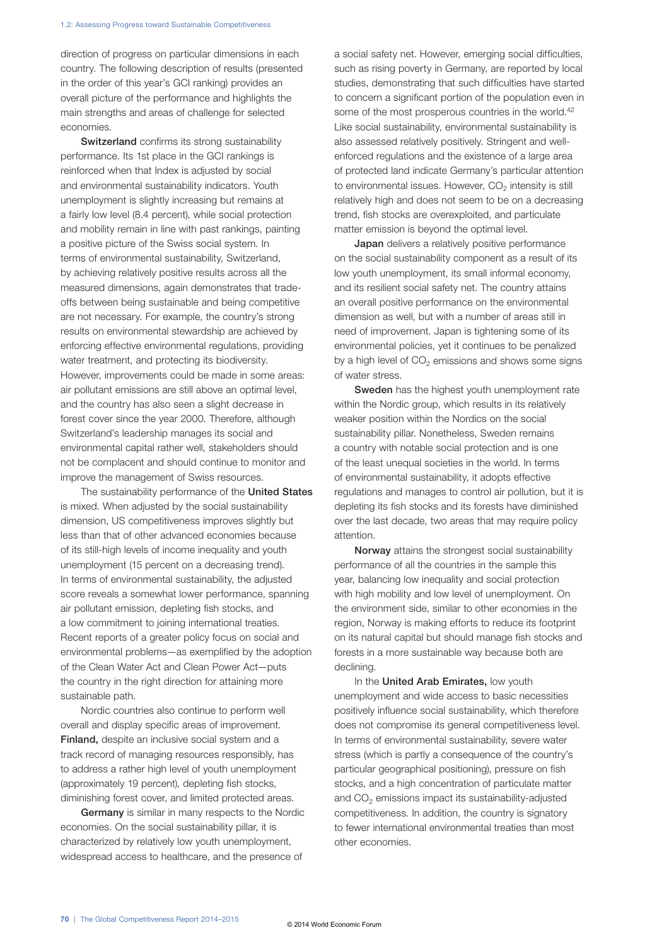direction of progress on particular dimensions in each country. The following description of results (presented in the order of this year's GCI ranking) provides an overall picture of the performance and highlights the main strengths and areas of challenge for selected economies.

Switzerland confirms its strong sustainability performance. Its 1st place in the GCI rankings is reinforced when that Index is adjusted by social and environmental sustainability indicators. Youth unemployment is slightly increasing but remains at a fairly low level (8.4 percent), while social protection and mobility remain in line with past rankings, painting a positive picture of the Swiss social system. In terms of environmental sustainability, Switzerland, by achieving relatively positive results across all the measured dimensions, again demonstrates that tradeoffs between being sustainable and being competitive are not necessary. For example, the country's strong results on environmental stewardship are achieved by enforcing effective environmental regulations, providing water treatment, and protecting its biodiversity. However, improvements could be made in some areas: air pollutant emissions are still above an optimal level, and the country has also seen a slight decrease in forest cover since the year 2000. Therefore, although Switzerland's leadership manages its social and environmental capital rather well, stakeholders should not be complacent and should continue to monitor and improve the management of Swiss resources.

The sustainability performance of the United States is mixed. When adjusted by the social sustainability dimension, US competitiveness improves slightly but less than that of other advanced economies because of its still-high levels of income inequality and youth unemployment (15 percent on a decreasing trend). In terms of environmental sustainability, the adjusted score reveals a somewhat lower performance, spanning air pollutant emission, depleting fish stocks, and a low commitment to joining international treaties. Recent reports of a greater policy focus on social and environmental problems—as exemplified by the adoption of the Clean Water Act and Clean Power Act—puts the country in the right direction for attaining more sustainable path.

Nordic countries also continue to perform well overall and display specific areas of improvement. Finland, despite an inclusive social system and a track record of managing resources responsibly, has to address a rather high level of youth unemployment (approximately 19 percent), depleting fish stocks, diminishing forest cover, and limited protected areas.

Germany is similar in many respects to the Nordic economies. On the social sustainability pillar, it is characterized by relatively low youth unemployment, widespread access to healthcare, and the presence of

a social safety net. However, emerging social difficulties, such as rising poverty in Germany, are reported by local studies, demonstrating that such difficulties have started to concern a significant portion of the population even in some of the most prosperous countries in the world.<sup>42</sup> Like social sustainability, environmental sustainability is also assessed relatively positively. Stringent and wellenforced regulations and the existence of a large area of protected land indicate Germany's particular attention to environmental issues. However,  $CO<sub>2</sub>$  intensity is still relatively high and does not seem to be on a decreasing trend, fish stocks are overexploited, and particulate matter emission is beyond the optimal level.

**Japan** delivers a relatively positive performance on the social sustainability component as a result of its low youth unemployment, its small informal economy, and its resilient social safety net. The country attains an overall positive performance on the environmental dimension as well, but with a number of areas still in need of improvement. Japan is tightening some of its environmental policies, yet it continues to be penalized by a high level of  $CO<sub>2</sub>$  emissions and shows some signs of water stress.

Sweden has the highest youth unemployment rate within the Nordic group, which results in its relatively weaker position within the Nordics on the social sustainability pillar. Nonetheless, Sweden remains a country with notable social protection and is one of the least unequal societies in the world. In terms of environmental sustainability, it adopts effective regulations and manages to control air pollution, but it is depleting its fish stocks and its forests have diminished over the last decade, two areas that may require policy attention.

Norway attains the strongest social sustainability performance of all the countries in the sample this year, balancing low inequality and social protection with high mobility and low level of unemployment. On the environment side, similar to other economies in the region, Norway is making efforts to reduce its footprint on its natural capital but should manage fish stocks and forests in a more sustainable way because both are declining.

In the United Arab Emirates, low youth unemployment and wide access to basic necessities positively influence social sustainability, which therefore does not compromise its general competitiveness level. In terms of environmental sustainability, severe water stress (which is partly a consequence of the country's particular geographical positioning), pressure on fish stocks, and a high concentration of particulate matter and  $CO<sub>2</sub>$  emissions impact its sustainability-adjusted competitiveness. In addition, the country is signatory to fewer international environmental treaties than most other economies.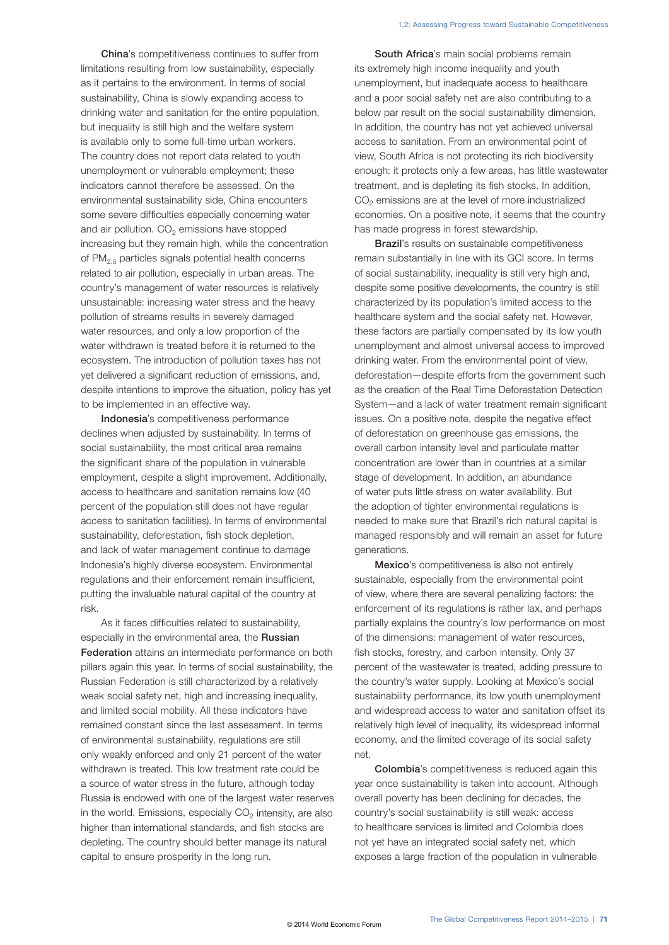China's competitiveness continues to suffer from limitations resulting from low sustainability, especially as it pertains to the environment. In terms of social sustainability, China is slowly expanding access to drinking water and sanitation for the entire population, but inequality is still high and the welfare system is available only to some full-time urban workers. The country does not report data related to youth unemployment or vulnerable employment; these indicators cannot therefore be assessed. On the environmental sustainability side, China encounters some severe difficulties especially concerning water and air pollution.  $CO<sub>2</sub>$  emissions have stopped increasing but they remain high, while the concentration of PM2.5 particles signals potential health concerns related to air pollution, especially in urban areas. The country's management of water resources is relatively unsustainable: increasing water stress and the heavy pollution of streams results in severely damaged water resources, and only a low proportion of the water withdrawn is treated before it is returned to the ecosystem. The introduction of pollution taxes has not yet delivered a significant reduction of emissions, and, despite intentions to improve the situation, policy has yet to be implemented in an effective way.

Indonesia's competitiveness performance declines when adjusted by sustainability. In terms of social sustainability, the most critical area remains the significant share of the population in vulnerable employment, despite a slight improvement. Additionally, access to healthcare and sanitation remains low (40 percent of the population still does not have regular access to sanitation facilities). In terms of environmental sustainability, deforestation, fish stock depletion, and lack of water management continue to damage Indonesia's highly diverse ecosystem. Environmental regulations and their enforcement remain insufficient, putting the invaluable natural capital of the country at risk.

As it faces difficulties related to sustainability, especially in the environmental area, the Russian Federation attains an intermediate performance on both pillars again this year. In terms of social sustainability, the Russian Federation is still characterized by a relatively weak social safety net, high and increasing inequality, and limited social mobility. All these indicators have remained constant since the last assessment. In terms of environmental sustainability, regulations are still only weakly enforced and only 21 percent of the water withdrawn is treated. This low treatment rate could be a source of water stress in the future, although today Russia is endowed with one of the largest water reserves in the world. Emissions, especially  $CO<sub>2</sub>$  intensity, are also higher than international standards, and fish stocks are depleting. The country should better manage its natural capital to ensure prosperity in the long run.

South Africa's main social problems remain its extremely high income inequality and youth unemployment, but inadequate access to healthcare and a poor social safety net are also contributing to a below par result on the social sustainability dimension. In addition, the country has not yet achieved universal access to sanitation. From an environmental point of view, South Africa is not protecting its rich biodiversity enough: it protects only a few areas, has little wastewater treatment, and is depleting its fish stocks. In addition,  $CO<sub>2</sub>$  emissions are at the level of more industrialized economies. On a positive note, it seems that the country has made progress in forest stewardship.

Brazil's results on sustainable competitiveness remain substantially in line with its GCI score. In terms of social sustainability, inequality is still very high and, despite some positive developments, the country is still characterized by its population's limited access to the healthcare system and the social safety net. However, these factors are partially compensated by its low youth unemployment and almost universal access to improved drinking water. From the environmental point of view, deforestation—despite efforts from the government such as the creation of the Real Time Deforestation Detection System—and a lack of water treatment remain significant issues. On a positive note, despite the negative effect of deforestation on greenhouse gas emissions, the overall carbon intensity level and particulate matter concentration are lower than in countries at a similar stage of development. In addition, an abundance of water puts little stress on water availability. But the adoption of tighter environmental regulations is needed to make sure that Brazil's rich natural capital is managed responsibly and will remain an asset for future generations.

Mexico's competitiveness is also not entirely sustainable, especially from the environmental point of view, where there are several penalizing factors: the enforcement of its regulations is rather lax, and perhaps partially explains the country's low performance on most of the dimensions: management of water resources, fish stocks, forestry, and carbon intensity. Only 37 percent of the wastewater is treated, adding pressure to the country's water supply. Looking at Mexico's social sustainability performance, its low youth unemployment and widespread access to water and sanitation offset its relatively high level of inequality, its widespread informal economy, and the limited coverage of its social safety net.

Colombia's competitiveness is reduced again this year once sustainability is taken into account. Although overall poverty has been declining for decades, the country's social sustainability is still weak: access to healthcare services is limited and Colombia does not yet have an integrated social safety net, which exposes a large fraction of the population in vulnerable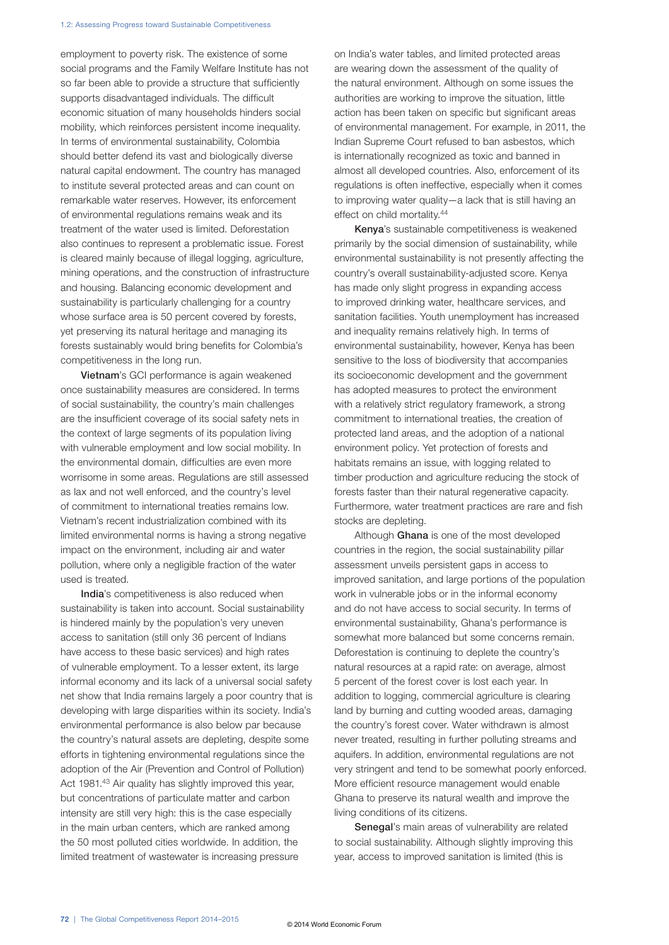employment to poverty risk. The existence of some social programs and the Family Welfare Institute has not so far been able to provide a structure that sufficiently supports disadvantaged individuals. The difficult economic situation of many households hinders social mobility, which reinforces persistent income inequality. In terms of environmental sustainability, Colombia should better defend its vast and biologically diverse natural capital endowment. The country has managed to institute several protected areas and can count on remarkable water reserves. However, its enforcement of environmental regulations remains weak and its treatment of the water used is limited. Deforestation also continues to represent a problematic issue. Forest is cleared mainly because of illegal logging, agriculture, mining operations, and the construction of infrastructure and housing. Balancing economic development and sustainability is particularly challenging for a country whose surface area is 50 percent covered by forests, yet preserving its natural heritage and managing its forests sustainably would bring benefits for Colombia's competitiveness in the long run.

Vietnam's GCI performance is again weakened once sustainability measures are considered. In terms of social sustainability, the country's main challenges are the insufficient coverage of its social safety nets in the context of large segments of its population living with vulnerable employment and low social mobility. In the environmental domain, difficulties are even more worrisome in some areas. Regulations are still assessed as lax and not well enforced, and the country's level of commitment to international treaties remains low. Vietnam's recent industrialization combined with its limited environmental norms is having a strong negative impact on the environment, including air and water pollution, where only a negligible fraction of the water used is treated.

India's competitiveness is also reduced when sustainability is taken into account. Social sustainability is hindered mainly by the population's very uneven access to sanitation (still only 36 percent of Indians have access to these basic services) and high rates of vulnerable employment. To a lesser extent, its large informal economy and its lack of a universal social safety net show that India remains largely a poor country that is developing with large disparities within its society. India's environmental performance is also below par because the country's natural assets are depleting, despite some efforts in tightening environmental regulations since the adoption of the Air (Prevention and Control of Pollution) Act 1981.<sup>43</sup> Air quality has slightly improved this year, but concentrations of particulate matter and carbon intensity are still very high: this is the case especially in the main urban centers, which are ranked among the 50 most polluted cities worldwide. In addition, the limited treatment of wastewater is increasing pressure

on India's water tables, and limited protected areas are wearing down the assessment of the quality of the natural environment. Although on some issues the authorities are working to improve the situation, little action has been taken on specific but significant areas of environmental management. For example, in 2011, the Indian Supreme Court refused to ban asbestos, which is internationally recognized as toxic and banned in almost all developed countries. Also, enforcement of its regulations is often ineffective, especially when it comes to improving water quality—a lack that is still having an effect on child mortality.<sup>44</sup>

Kenya's sustainable competitiveness is weakened primarily by the social dimension of sustainability, while environmental sustainability is not presently affecting the country's overall sustainability-adjusted score. Kenya has made only slight progress in expanding access to improved drinking water, healthcare services, and sanitation facilities. Youth unemployment has increased and inequality remains relatively high. In terms of environmental sustainability, however, Kenya has been sensitive to the loss of biodiversity that accompanies its socioeconomic development and the government has adopted measures to protect the environment with a relatively strict regulatory framework, a strong commitment to international treaties, the creation of protected land areas, and the adoption of a national environment policy. Yet protection of forests and habitats remains an issue, with logging related to timber production and agriculture reducing the stock of forests faster than their natural regenerative capacity. Furthermore, water treatment practices are rare and fish stocks are depleting.

Although Ghana is one of the most developed countries in the region, the social sustainability pillar assessment unveils persistent gaps in access to improved sanitation, and large portions of the population work in vulnerable jobs or in the informal economy and do not have access to social security. In terms of environmental sustainability, Ghana's performance is somewhat more balanced but some concerns remain. Deforestation is continuing to deplete the country's natural resources at a rapid rate: on average, almost 5 percent of the forest cover is lost each year. In addition to logging, commercial agriculture is clearing land by burning and cutting wooded areas, damaging the country's forest cover. Water withdrawn is almost never treated, resulting in further polluting streams and aquifers. In addition, environmental regulations are not very stringent and tend to be somewhat poorly enforced. More efficient resource management would enable Ghana to preserve its natural wealth and improve the living conditions of its citizens.

Senegal's main areas of vulnerability are related to social sustainability. Although slightly improving this year, access to improved sanitation is limited (this is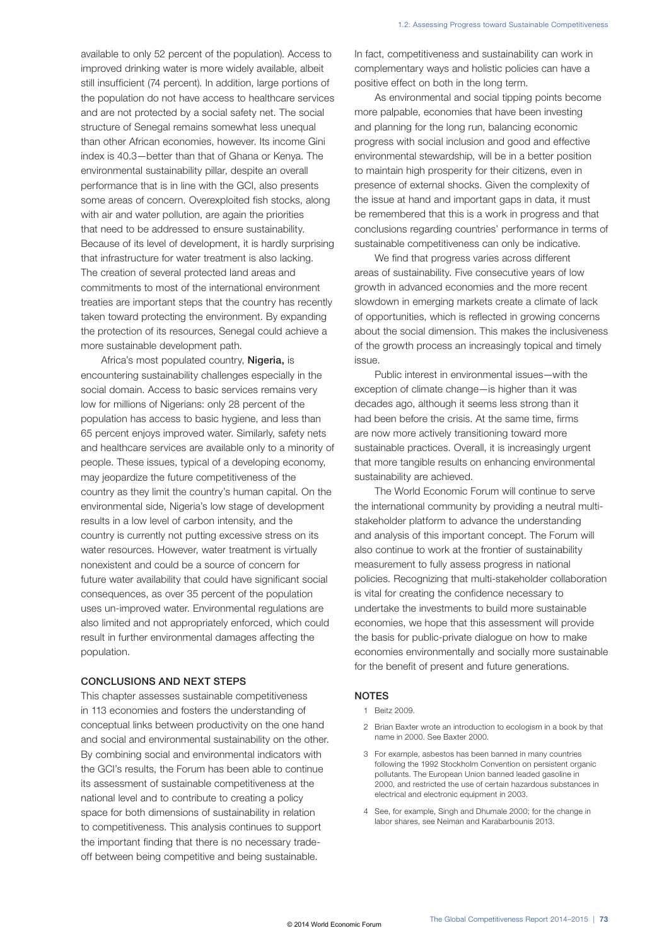available to only 52 percent of the population). Access to improved drinking water is more widely available, albeit still insufficient (74 percent). In addition, large portions of the population do not have access to healthcare services and are not protected by a social safety net. The social structure of Senegal remains somewhat less unequal than other African economies, however. Its income Gini index is 40.3—better than that of Ghana or Kenya. The environmental sustainability pillar, despite an overall performance that is in line with the GCI, also presents some areas of concern. Overexploited fish stocks, along with air and water pollution, are again the priorities that need to be addressed to ensure sustainability. Because of its level of development, it is hardly surprising that infrastructure for water treatment is also lacking. The creation of several protected land areas and commitments to most of the international environment treaties are important steps that the country has recently taken toward protecting the environment. By expanding the protection of its resources, Senegal could achieve a more sustainable development path.

Africa's most populated country, Nigeria, is encountering sustainability challenges especially in the social domain. Access to basic services remains very low for millions of Nigerians: only 28 percent of the population has access to basic hygiene, and less than 65 percent enjoys improved water. Similarly, safety nets and healthcare services are available only to a minority of people. These issues, typical of a developing economy, may jeopardize the future competitiveness of the country as they limit the country's human capital. On the environmental side, Nigeria's low stage of development results in a low level of carbon intensity, and the country is currently not putting excessive stress on its water resources. However, water treatment is virtually nonexistent and could be a source of concern for future water availability that could have significant social consequences, as over 35 percent of the population uses un-improved water. Environmental regulations are also limited and not appropriately enforced, which could result in further environmental damages affecting the population.

#### CONCLUSIONS AND NEXT STEPS

This chapter assesses sustainable competitiveness in 113 economies and fosters the understanding of conceptual links between productivity on the one hand and social and environmental sustainability on the other. By combining social and environmental indicators with the GCI's results, the Forum has been able to continue its assessment of sustainable competitiveness at the national level and to contribute to creating a policy space for both dimensions of sustainability in relation to competitiveness. This analysis continues to support the important finding that there is no necessary tradeoff between being competitive and being sustainable.

In fact, competitiveness and sustainability can work in complementary ways and holistic policies can have a positive effect on both in the long term.

As environmental and social tipping points become more palpable, economies that have been investing and planning for the long run, balancing economic progress with social inclusion and good and effective environmental stewardship, will be in a better position to maintain high prosperity for their citizens, even in presence of external shocks. Given the complexity of the issue at hand and important gaps in data, it must be remembered that this is a work in progress and that conclusions regarding countries' performance in terms of sustainable competitiveness can only be indicative.

We find that progress varies across different areas of sustainability. Five consecutive years of low growth in advanced economies and the more recent slowdown in emerging markets create a climate of lack of opportunities, which is reflected in growing concerns about the social dimension. This makes the inclusiveness of the growth process an increasingly topical and timely issue.

Public interest in environmental issues—with the exception of climate change—is higher than it was decades ago, although it seems less strong than it had been before the crisis. At the same time, firms are now more actively transitioning toward more sustainable practices. Overall, it is increasingly urgent that more tangible results on enhancing environmental sustainability are achieved.

The World Economic Forum will continue to serve the international community by providing a neutral multistakeholder platform to advance the understanding and analysis of this important concept. The Forum will also continue to work at the frontier of sustainability measurement to fully assess progress in national policies. Recognizing that multi-stakeholder collaboration is vital for creating the confidence necessary to undertake the investments to build more sustainable economies, we hope that this assessment will provide the basis for public-private dialogue on how to make economies environmentally and socially more sustainable for the benefit of present and future generations.

#### NOTES

- 1 Beitz 2009.
- 2 Brian Baxter wrote an introduction to ecologism in a book by that name in 2000. See Baxter 2000.
- 3 For example, asbestos has been banned in many countries following the 1992 Stockholm Convention on persistent organic pollutants. The European Union banned leaded gasoline in 2000, and restricted the use of certain hazardous substances in electrical and electronic equipment in 2003.
- 4 See, for example, Singh and Dhumale 2000; for the change in labor shares, see Neiman and Karabarbounis 2013.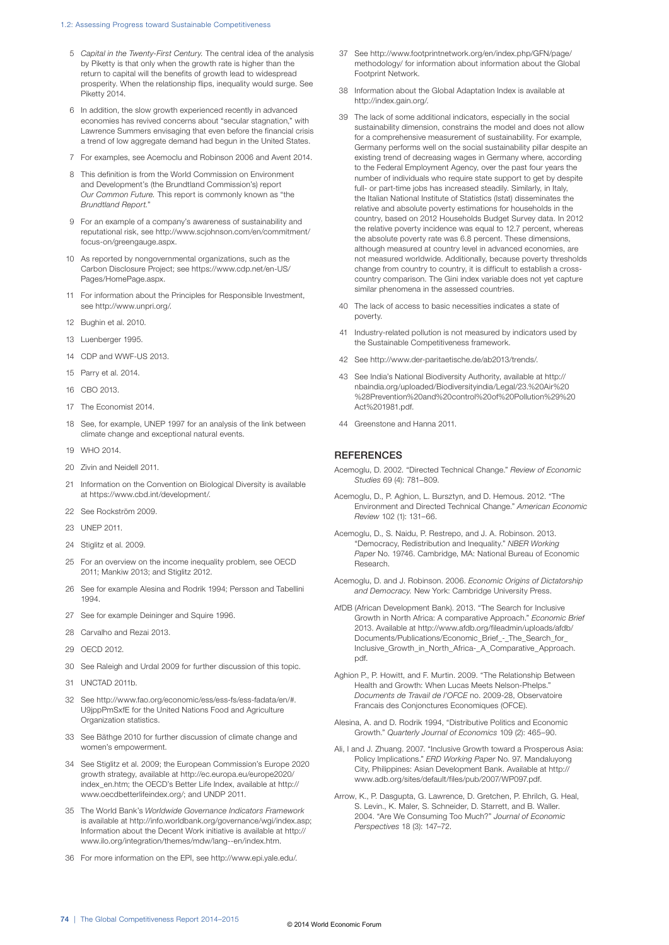#### 1.2: Assessing Progress toward Sustainable Competitiveness

- 5 *Capital in the Twenty-First Century.* The central idea of the analysis by Piketty is that only when the growth rate is higher than the return to capital will the benefits of growth lead to widespread prosperity. When the relationship flips, inequality would surge. See Piketty 2014.
- 6 In addition, the slow growth experienced recently in advanced economies has revived concerns about "secular stagnation," with Lawrence Summers envisaging that even before the financial crisis a trend of low aggregate demand had begun in the United States.
- 7 For examples, see Acemoclu and Robinson 2006 and Avent 2014.
- 8 This definition is from the World Commission on Environment and Development's (the Brundtland Commission's) report *Our Common Future.* This report is commonly known as "the *Brundtland Report.*"
- 9 For an example of a company's awareness of sustainability and reputational risk, see http://www.scjohnson.com/en/commitment/ focus-on/greengauge.aspx.
- 10 As reported by nongovernmental organizations, such as the Carbon Disclosure Project; see https://www.cdp.net/en-US/ Pages/HomePage.aspx.
- 11 For information about the Principles for Responsible Investment, see http://www.unpri.org/.
- 12 Bughin et al. 2010.
- 13 Luenberger 1995.
- 14 CDP and WWF-US 2013.
- 15 Parry et al. 2014.
- 16 CBO 2013.
- 17 The Economist 2014.
- 18 See, for example, UNEP 1997 for an analysis of the link between climate change and exceptional natural events.
- 19 WHO 2014.
- 20 Zivin and Neidell 2011.
- 21 Information on the Convention on Biological Diversity is available at https://www.cbd.int/development/.
- 22 See Rockström 2009.
- 23 UNEP 2011.
- 24 Stiglitz et al. 2009.
- 25 For an overview on the income inequality problem, see OECD 2011; Mankiw 2013; and Stiglitz 2012.
- 26 See for example Alesina and Rodrik 1994; Persson and Tabellini 1994.
- 27 See for example Deininger and Squire 1996.
- 28 Carvalho and Rezai 2013.
- 29 OECD 2012.
- 30 See Raleigh and Urdal 2009 for further discussion of this topic.
- 31 UNCTAD 2011b.
- 32 See http://www.fao.org/economic/ess/ess-fs/ess-fadata/en/#. U9jppPmSxfE for the United Nations Food and Agriculture Organization statistics.
- 33 See Bäthge 2010 for further discussion of climate change and women's empowerment.
- 34 See Stiglitz et al. 2009; the European Commission's Europe 2020 growth strategy, available at http://ec.europa.eu/europe2020/ index\_en.htm; the OECD's Better Life Index, available at http:// www.oecdbetterlifeindex.org/; and UNDP 2011.
- 35 The World Bank's *Worldwide Governance Indicators Framework* is available at http://info.worldbank.org/governance/wgi/index.asp; Information about the Decent Work initiative is available at http:// www.ilo.org/integration/themes/mdw/lang--en/index.htm.
- 36 For more information on the EPI, see http://www.epi.yale.edu/.
- 37 See http://www.footprintnetwork.org/en/index.php/GFN/page/ methodology/ for information about information about the Global Footprint Network.
- 38 Information about the Global Adaptation Index is available at http://index.gain.org/.
- 39 The lack of some additional indicators, especially in the social sustainability dimension, constrains the model and does not allow for a comprehensive measurement of sustainability. For example, Germany performs well on the social sustainability pillar despite an existing trend of decreasing wages in Germany where, according to the Federal Employment Agency, over the past four years the number of individuals who require state support to get by despite full- or part-time jobs has increased steadily. Similarly, in Italy, the Italian National Institute of Statistics (Istat) disseminates the relative and absolute poverty estimations for households in the country, based on 2012 Households Budget Survey data. In 2012 the relative poverty incidence was equal to 12.7 percent, whereas the absolute poverty rate was 6.8 percent. These dimensions, although measured at country level in advanced economies, are not measured worldwide. Additionally, because poverty thresholds change from country to country, it is difficult to establish a crosscountry comparison. The Gini index variable does not yet capture similar phenomena in the assessed countries.
- 40 The lack of access to basic necessities indicates a state of poverty.
- 41 Industry-related pollution is not measured by indicators used by the Sustainable Competitiveness framework.
- 42 See http://www.der-paritaetische.de/ab2013/trends/.
- 43 See India's National Biodiversity Authority, available at http:// nbaindia.org/uploaded/Biodiversityindia/Legal/23.%20Air%20 %28Prevention%20and%20control%20of%20Pollution%29%20 Act%201981.pdf.
- 44 Greenstone and Hanna 2011.

#### **REFERENCES**

- Acemoglu, D. 2002. "Directed Technical Change." *Review of Economic Studies* 69 (4): 781–809.
- Acemoglu, D., P. Aghion, L. Bursztyn, and D. Hemous. 2012. "The Environment and Directed Technical Change." *American Economic Review* 102 (1): 131–66.
- Acemoglu, D., S. Naidu, P. Restrepo, and J. A. Robinson. 2013. "Democracy, Redistribution and Inequality." *NBER Working Paper* No. 19746. Cambridge, MA: National Bureau of Economic Research.
- Acemoglu, D. and J. Robinson. 2006. *Economic Origins of Dictatorship and Democracy.* New York: Cambridge University Press.
- AfDB (African Development Bank). 2013. "The Search for Inclusive Growth in North Africa: A comparative Approach." *Economic Brief* 2013. Available at http://www.afdb.org/fileadmin/uploads/afdb/ Documents/Publications/Economic\_Brief\_-\_The\_Search\_for\_ Inclusive\_Growth\_in\_North\_Africa-\_A\_Comparative\_Approach. pdf.
- Aghion P., P. Howitt, and F. Murtin. 2009. "The Relationship Between Health and Growth: When Lucas Meets Nelson-Phelps." *Documents de Travail de l'OFCE* no. 2009-28, Observatoire Francais des Conjonctures Economiques (OFCE).
- Alesina, A. and D. Rodrik 1994, "Distributive Politics and Economic Growth." *Quarterly Journal of Economics* 109 (2): 465–90.
- Ali, I and J. Zhuang. 2007. "Inclusive Growth toward a Prosperous Asia: Policy Implications." *ERD Working Paper* No. 97. Mandaluyong City, Philippines: Asian Development Bank. Available at http:// www.adb.org/sites/default/files/pub/2007/WP097.pdf.
- Arrow, K., P. Dasgupta, G. Lawrence, D. Gretchen, P. Ehrilch, G. Heal, S. Levin., K. Maler, S. Schneider, D. Starrett, and B. Waller. 2004. "Are We Consuming Too Much?" *Journal of Economic Perspectives* 18 (3): 147–72.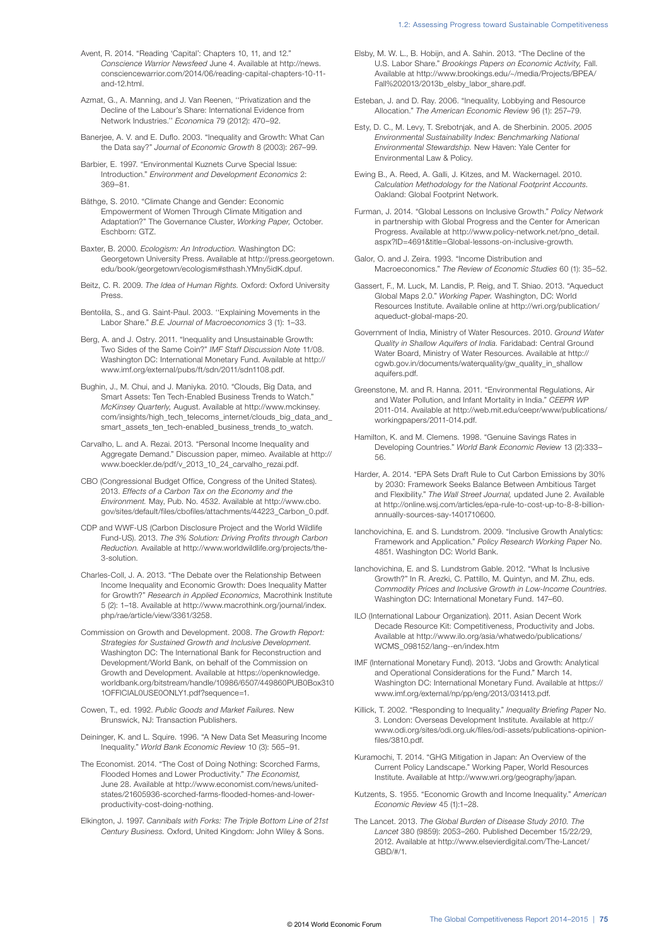- Avent, R. 2014. "Reading 'Capital': Chapters 10, 11, and 12." *Conscience Warrior Newsfeed* June 4. Available at http://news. consciencewarrior.com/2014/06/reading-capital-chapters-10-11 and-12 html
- Azmat, G., A. Manning, and J. Van Reenen, ''Privatization and the Decline of the Labour's Share: International Evidence from Network Industries.'' *Economica* 79 (2012): 470–92.
- Banerjee, A. V. and E. Duflo. 2003. "Inequality and Growth: What Can the Data say?" *Journal of Economic Growth* 8 (2003): 267–99.
- Barbier, E. 1997. "Environmental Kuznets Curve Special Issue: Introduction." *Environment and Development Economics* 2: 369–81.
- Bäthge, S. 2010. "Climate Change and Gender: Economic Empowerment of Women Through Climate Mitigation and Adaptation?" The Governance Cluster, *Working Paper,* October. Eschborn: GTZ.
- Baxter, B. 2000. *Ecologism: An Introduction.* Washington DC: Georgetown University Press. Available at http://press.georgetown. edu/book/georgetown/ecologism#sthash.YMny5idK.dpuf.
- Beitz, C. R. 2009. *The Idea of Human Rights.* Oxford: Oxford University Press.
- Bentolila, S., and G. Saint-Paul. 2003. ''Explaining Movements in the Labor Share." *B.E. Journal of Macroeconomics* 3 (1): 1–33.
- Berg, A. and J. Ostry. 2011. "Inequality and Unsustainable Growth: Two Sides of the Same Coin?" *IMF Staff Discussion Note* 11/08. Washington DC: International Monetary Fund. Available at http:// www.imf.org/external/pubs/ft/sdn/2011/sdn1108.pdf.
- Bughin, J., M. Chui, and J. Maniyka. 2010. "Clouds, Big Data, and Smart Assets: Ten Tech-Enabled Business Trends to Watch." *McKinsey Quarterly,* August. Available at http://www.mckinsey. com/insights/high\_tech\_telecoms\_internet/clouds\_big\_data\_and\_ smart\_assets\_ten\_tech-enabled\_business\_trends\_to\_watch.
- Carvalho, L. and A. Rezai. 2013. "Personal Income Inequality and Aggregate Demand." Discussion paper, mimeo. Available at http:// www.boeckler.de/pdf/v\_2013\_10\_24\_carvalho\_rezai.pdf.
- CBO (Congressional Budget Office, Congress of the United States). 2013. *Effects of a Carbon Tax on the Economy and the Environment.* May, Pub. No. 4532. Available at http://www.cbo. gov/sites/default/files/cbofiles/attachments/44223\_Carbon\_0.pdf.
- CDP and WWF-US (Carbon Disclosure Project and the World Wildlife Fund-US). 2013. *The 3% Solution: Driving Profits through Carbon Reduction.* Available at http://www.worldwildlife.org/projects/the-3-solution.
- Charles-Coll, J. A. 2013. "The Debate over the Relationship Between Income Inequality and Economic Growth: Does Inequality Matter for Growth?" *Research in Applied Economics,* Macrothink Institute 5 (2): 1–18. Available at http://www.macrothink.org/journal/index. php/rae/article/view/3361/3258.
- Commission on Growth and Development. 2008. *The Growth Report: Strategies for Sustained Growth and Inclusive Development.* Washington DC: The International Bank for Reconstruction and Development/World Bank, on behalf of the Commission on Growth and Development. Available at https://openknowledge. worldbank.org/bitstream/handle/10986/6507/449860PUB0Box310 1OFFICIAL0USE0ONLY1.pdf?sequence=1.
- Cowen, T., ed. 1992. *Public Goods and Market Failures.* New Brunswick, NJ: Transaction Publishers.
- Deininger, K. and L. Squire. 1996. "A New Data Set Measuring Income Inequality." *World Bank Economic Review* 10 (3): 565–91.
- The Economist. 2014. "The Cost of Doing Nothing: Scorched Farms, Flooded Homes and Lower Productivity." *The Economist,* June 28. Available at http://www.economist.com/news/unitedstates/21605936-scorched-farms-flooded-homes-and-lowerproductivity-cost-doing-nothing.
- Elkington, J. 1997. *Cannibals with Forks: The Triple Bottom Line of 21st Century Business.* Oxford, United Kingdom: John Wiley & Sons.
- Elsby, M. W. L., B. Hobijn, and A. Sahin. 2013. "The Decline of the U.S. Labor Share." *Brookings Papers on Economic Activity,* Fall. Available at http://www.brookings.edu/~/media/Projects/BPEA/ Fall%202013/2013b\_elsby\_labor\_share.pdf.
- Esteban, J. and D. Ray. 2006. "Inequality, Lobbying and Resource Allocation." *The American Economic Review* 96 (1): 257–79.
- Esty, D. C., M. Levy, T. Srebotnjak, and A. de Sherbinin. 2005. *2005 Environmental Sustainability Index: Benchmarking National Environmental Stewardship.* New Haven: Yale Center for Environmental Law & Policy.
- Ewing B., A. Reed, A. Galli, J. Kitzes, and M. Wackernagel. 2010. *Calculation Methodology for the National Footprint Accounts.* Oakland: Global Footprint Network.
- Furman, J. 2014. "Global Lessons on Inclusive Growth." *Policy Network*  in partnership with Global Progress and the Center for American Progress. Available at http://www.policy-network.net/pno\_detail. aspx?ID=4691&title=Global-lessons-on-inclusive-growth.
- Galor, O. and J. Zeira. 1993. "Income Distribution and Macroeconomics." *The Review of Economic Studies* 60 (1): 35–52.
- Gassert, F., M. Luck, M. Landis, P. Reig, and T. Shiao. 2013. "Aqueduct Global Maps 2.0." *Working Paper.* Washington, DC: World Resources Institute. Available online at http://wri.org/publication/ aqueduct-global-maps-20.
- Government of India, Ministry of Water Resources. 2010. *Ground Water Quality in Shallow Aquifers of India.* Faridabad: Central Ground Water Board, Ministry of Water Resources. Available at http:// cgwb.gov.in/documents/waterquality/gw\_quality\_in\_shallow aquifers.pdf.
- Greenstone, M. and R. Hanna. 2011. "Environmental Regulations, Air and Water Pollution, and Infant Mortality in India." *CEEPR WP* 2011-014. Available at http://web.mit.edu/ceepr/www/publications/ workingpapers/2011-014.pdf.
- Hamilton, K. and M. Clemens. 1998. "Genuine Savings Rates in Developing Countries." *World Bank Economic Review* 13 (2):333– 56.
- Harder, A. 2014. "EPA Sets Draft Rule to Cut Carbon Emissions by 30% by 2030: Framework Seeks Balance Between Ambitious Target and Flexibility." *The Wall Street Journal,* updated June 2. Available at http://online.wsj.com/articles/epa-rule-to-cost-up-to-8-8-billionannually-sources-say-1401710600.
- Ianchovichina, E. and S. Lundstrom. 2009. "Inclusive Growth Analytics: Framework and Application." *Policy Research Working Paper* No. 4851. Washington DC: World Bank.
- Ianchovichina, E. and S. Lundstrom Gable. 2012. "What Is Inclusive Growth?" In R. Arezki, C. Pattillo, M. Quintyn, and M. Zhu, eds. *Commodity Prices and Inclusive Growth in Low-Income Countries.* Washington DC: International Monetary Fund. 147–60.
- ILO (International Labour Organization). 2011. Asian Decent Work Decade Resource Kit: Competitiveness, Productivity and Jobs. Available at http://www.ilo.org/asia/whatwedo/publications/ WCMS\_098152/lang--en/index.htm
- IMF (International Monetary Fund). 2013. "Jobs and Growth: Analytical and Operational Considerations for the Fund." March 14. Washington DC: International Monetary Fund. Available at https:// www.imf.org/external/np/pp/eng/2013/031413.pdf.
- Killick, T. 2002. "Responding to Inequality." *Inequality Briefing Paper* No. 3. London: Overseas Development Institute. Available at http:// www.odi.org/sites/odi.org.uk/files/odi-assets/publications-opinionfiles/3810.pdf
- Kuramochi, T. 2014. "GHG Mitigation in Japan: An Overview of the Current Policy Landscape." Working Paper, World Resources Institute. Available at http://www.wri.org/geography/japan.
- Kutzents, S. 1955. "Economic Growth and Income Inequality." *American Economic Review* 45 (1):1–28.
- The Lancet. 2013. *The Global Burden of Disease Study 2010. The Lancet* 380 (9859): 2053–260. Published December 15/22/29, 2012. Available at http://www.elsevierdigital.com/The-Lancet/ GBD/#/1.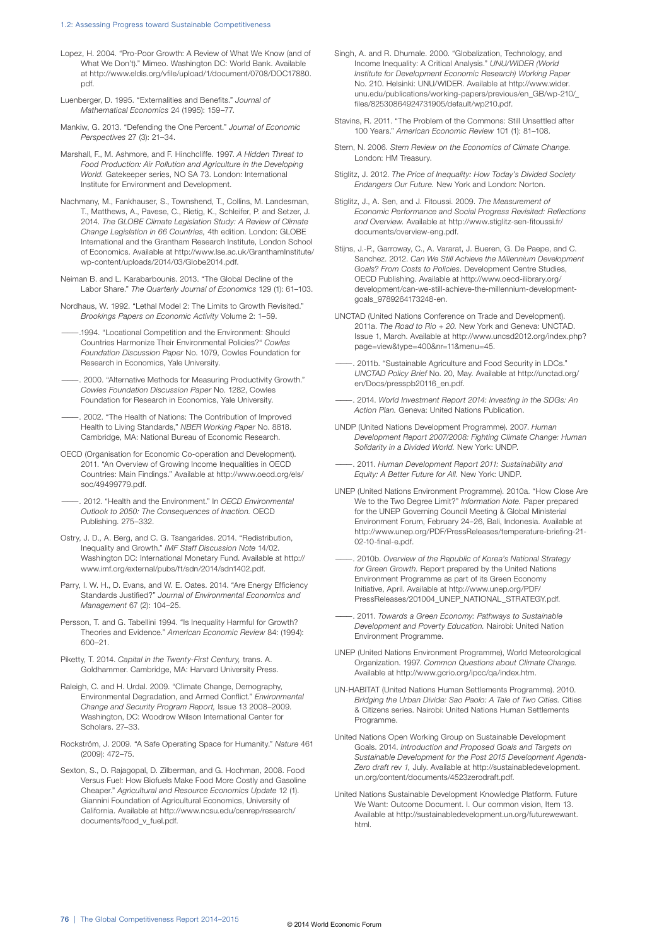- Lopez, H. 2004. "Pro-Poor Growth: A Review of What We Know (and of What We Don't)." Mimeo. Washington DC: World Bank. Available at http://www.eldis.org/vfile/upload/1/document/0708/DOC17880. pdf.
- Luenberger, D. 1995. "Externalities and Benefits." *Journal of Mathematical Economics* 24 (1995): 159–77.
- Mankiw, G. 2013. "Defending the One Percent." *Journal of Economic Perspectives* 27 (3): 21–34.
- Marshall, F., M. Ashmore, and F. Hinchcliffe. 1997. *A Hidden Threat to Food Production: Air Pollution and Agriculture in the Developing World.* Gatekeeper series, NO SA 73. London: International Institute for Environment and Development.
- Nachmany, M., Fankhauser, S., Townshend, T., Collins, M. Landesman, T., Matthews, A., Pavese, C., Rietig, K., Schleifer, P. and Setzer, J. 2014. *The GLOBE Climate Legislation Study: A Review of Climate Change Legislation in 66 Countries,* 4th edition. London: GLOBE International and the Grantham Research Institute, London School of Economics. Available at http://www.lse.ac.uk/GranthamInstitute/ wp-content/uploads/2014/03/Globe2014.pdf.
- Neiman B. and L. Karabarbounis. 2013. "The Global Decline of the Labor Share." *The Quarterly Journal of Economics* 129 (1): 61–103.
- Nordhaus, W. 1992. "Lethal Model 2: The Limits to Growth Revisited." *Brookings Papers on Economic Activity* Volume 2: 1–59.
- ———.1994. "Locational Competition and the Environment: Should Countries Harmonize Their Environmental Policies?" *Cowles Foundation Discussion Paper* No. 1079, Cowles Foundation for Research in Economics, Yale University.
- 2000. "Alternative Methods for Measuring Productivity Growth." *Cowles Foundation Discussion Paper* No. 1282, Cowles Foundation for Research in Economics, Yale University.
- ———. 2002. "The Health of Nations: The Contribution of Improved Health to Living Standards," *NBER Working Paper* No. 8818. Cambridge, MA: National Bureau of Economic Research.
- OECD (Organisation for Economic Co-operation and Development). 2011. "An Overview of Growing Income Inequalities in OECD Countries: Main Findings." Available at http://www.oecd.org/els/ soc/49499779.pdf.
- ———. 2012. "Health and the Environment." In *OECD Environmental Outlook to 2050: The Consequences of Inaction.* OECD Publishing. 275–332.
- Ostry, J. D., A. Berg, and C. G. Tsangarides. 2014. "Redistribution, Inequality and Growth." *IMF Staff Discussion Note* 14/02. Washington DC: International Monetary Fund. Available at http:// www.imf.org/external/pubs/ft/sdn/2014/sdn1402.pdf.
- Parry, I. W. H., D. Evans, and W. E. Oates. 2014. "Are Energy Efficiency Standards Justified?" *Journal of Environmental Economics and Management* 67 (2): 104–25.
- Persson, T. and G. Tabellini 1994. "Is Inequality Harmful for Growth? Theories and Evidence." *American Economic Review* 84: (1994): 600–21.
- Piketty, T. 2014. *Capital in the Twenty-First Century,* trans. A. Goldhammer. Cambridge, MA: Harvard University Press.
- Raleigh, C. and H. Urdal. 2009. "Climate Change, Demography, Environmental Degradation, and Armed Conflict." *Environmental Change and Security Program Report,* Issue 13 2008–2009. Washington, DC: Woodrow Wilson International Center for Scholars. 27–33.
- Rockström, J. 2009. "A Safe Operating Space for Humanity." *Nature* 461 (2009): 472–75.
- Sexton, S., D. Rajagopal, D. Zilberman, and G. Hochman, 2008. Food Versus Fuel: How Biofuels Make Food More Costly and Gasoline Cheaper." *Agricultural and Resource Economics Update* 12 (1). Giannini Foundation of Agricultural Economics, University of California. Available at http://www.ncsu.edu/cenrep/research/ documents/food\_v\_fuel.pdf.
- Singh, A. and R. Dhumale. 2000. "Globalization, Technology, and Income Inequality: A Critical Analysis." *UNU/WIDER (World Institute for Development Economic Research) Working Paper* No. 210. Helsinki: UNU/WIDER. Available at http://www.wider. unu.edu/publications/working-papers/previous/en\_GB/wp-210/\_ files/82530864924731905/default/wp210.pdf.
- Stavins, R. 2011. "The Problem of the Commons: Still Unsettled after 100 Years." *American Economic Review* 101 (1): 81–108.
- Stern, N. 2006. *Stern Review on the Economics of Climate Change.* London: HM Treasury.
- Stiglitz, J. 2012. *The Price of Inequality: How Today's Divided Society Endangers Our Future.* New York and London: Norton.
- Stiglitz, J., A. Sen, and J. Fitoussi. 2009. *The Measurement of Economic Performance and Social Progress Revisited: Reflections and Overview.* Available at http://www.stiglitz-sen-fitoussi.fr/ documents/overview-eng.pdf.
- Stijns, J.-P., Garroway, C., A. Vararat, J. Bueren, G. De Paepe, and C. Sanchez. 2012. *Can We Still Achieve the Millennium Development Goals? From Costs to Policies.* Development Centre Studies, OECD Publishing. Available at http://www.oecd-ilibrary.org/ development/can-we-still-achieve-the-millennium-developmentgoals\_9789264173248-en.
- UNCTAD (United Nations Conference on Trade and Development). 2011a. *The Road to Rio + 20.* New York and Geneva: UNCTAD. Issue 1, March. Available at http://www.uncsd2012.org/index.php? page=view&type=400&nr=11&menu=45.
- . 2011b. "Sustainable Agriculture and Food Security in LDCs." *UNCTAD Policy Brief* No. 20, May. Available at http://unctad.org/ en/Docs/presspb20116\_en.pdf.
- ———. 2014. *World Investment Report 2014: Investing in the SDGs: An Action Plan.* Geneva: United Nations Publication.
- UNDP (United Nations Development Programme). 2007. *Human Development Report 2007/2008: Fighting Climate Change: Human Solidarity in a Divided World.* New York: UNDP.
- ———. 2011. *Human Development Report 2011: Sustainability and Equity: A Better Future for All.* New York: UNDP.
- UNEP (United Nations Environment Programme). 2010a. "How Close Are We to the Two Degree Limit?" *Information Note.* Paper prepared for the UNEP Governing Council Meeting & Global Ministerial Environment Forum, February 24–26, Bali, Indonesia. Available at http://www.unep.org/PDF/PressReleases/temperature-briefing-21- 02-10-final-e.pdf.
- -. 2010b. Overview of the Republic of Korea's National Strategy *for Green Growth.* Report prepared by the United Nations Environment Programme as part of its Green Economy Initiative, April. Available at http://www.unep.org/PDF/ PressReleases/201004\_UNEP\_NATIONAL\_STRATEGY.pdf.
- ———. 2011. *Towards a Green Economy: Pathways to Sustainable Development and Poverty Education.* Nairobi: United Nation Environment Programme.
- UNEP (United Nations Environment Programme), World Meteorological Organization. 1997. *Common Questions about Climate Change.* Available at http://www.gcrio.org/ipcc/qa/index.htm.
- UN-HABITAT (United Nations Human Settlements Programme). 2010. *Bridging the Urban Divide: Sao Paolo: A Tale of Two Cities.* Cities & Citizens series. Nairobi: United Nations Human Settlements Programme.
- United Nations Open Working Group on Sustainable Development Goals. 2014. *Introduction and Proposed Goals and Targets on Sustainable Development for the Post 2015 Development Agenda-Zero draft rev 1,* July. Available at http://sustainabledevelopment. un.org/content/documents/4523zerodraft.pdf.
- United Nations Sustainable Development Knowledge Platform. Future We Want: Outcome Document. I. Our common vision, Item 13. Available at http://sustainabledevelopment.un.org/futurewewant. html.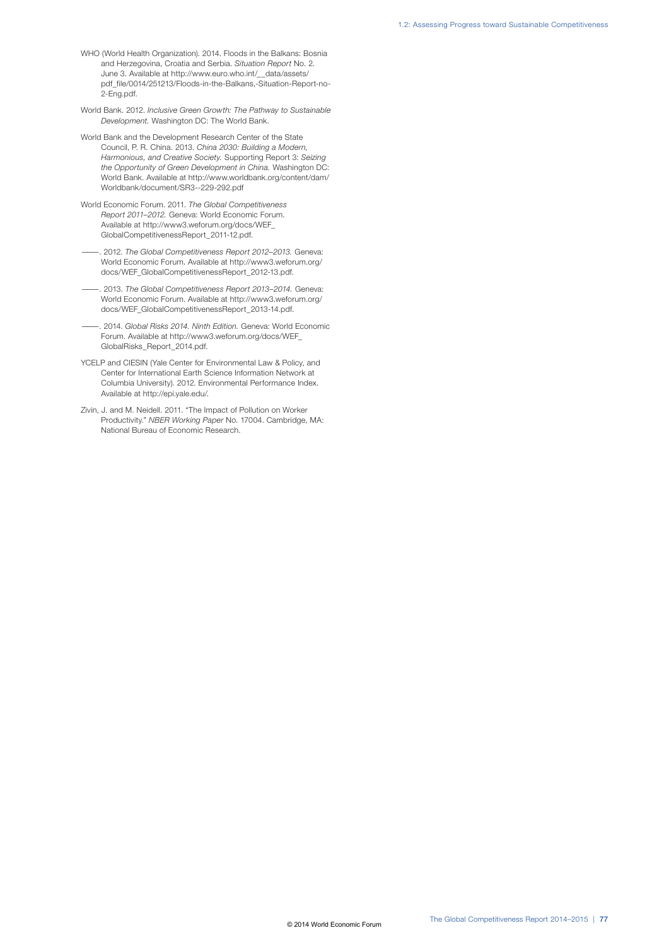- WHO (World Health Organization). 2014. Floods in the Balkans: Bosnia and Herzegovina, Croatia and Serbia. *Situation Report* No. 2. June 3. Available at http://www.euro.who.int/\_\_data/assets/ pdf\_file/0014/251213/Floods-in-the-Balkans,-Situation-Report-no-2-Eng.pdf.
- World Bank. 2012. *Inclusive Green Growth: The Pathway to Sustainable Development.* Washington DC: The World Bank.
- World Bank and the Development Research Center of the State Council, P. R. China. 2013. *China 2030: Building a Modern, Harmonious, and Creative Society.* Supporting Report 3: *Seizing the Opportunity of Green Development in China.* Washington DC: World Bank. Available at http://www.worldbank.org/content/dam/ Worldbank/document/SR3--229-292.pdf
- World Economic Forum. 2011. *The Global Competitiveness Report 2011–2012.* Geneva: World Economic Forum. Available at http://www3.weforum.org/docs/WEF\_ GlobalCompetitivenessReport\_2011-12.pdf.
- ———. 2012. *The Global Competitiveness Report 2012–2013.* Geneva: World Economic Forum. Available at http://www3.weforum.org/ docs/WEF\_GlobalCompetitivenessReport\_2012-13.pdf.
- ———. 2013. *The Global Competitiveness Report 2013–2014.* Geneva: World Economic Forum. Available at http://www3.weforum.org/ docs/WEF\_GlobalCompetitivenessReport\_2013-14.pdf.
- ———. 2014. *Global Risks 2014. Ninth Edition.* Geneva: World Economic Forum. Available at http://www3.weforum.org/docs/WEF\_ GlobalRisks\_Report\_2014.pdf.
- YCELP and CIESIN (Yale Center for Environmental Law & Policy, and Center for International Earth Science Information Network at Columbia University). 2012. Environmental Performance Index. Available at http://epi.yale.edu/.
- Zivin, J. and M. Neidell. 2011. "The Impact of Pollution on Worker Productivity." *NBER Working Paper* No. 17004. Cambridge, MA: National Bureau of Economic Research.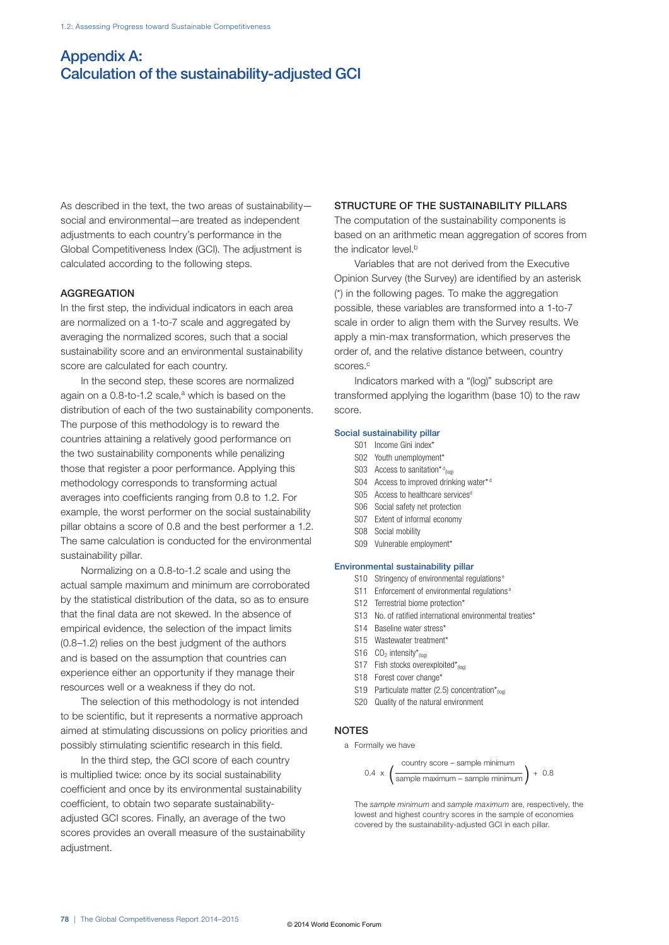# Appendix A: Calculation of the sustainability-adjusted GCI

As described in the text, the two areas of sustainability social and environmental—are treated as independent adjustments to each country's performance in the Global Competitiveness Index (GCI). The adjustment is calculated according to the following steps.

#### **AGGREGATION**

In the first step, the individual indicators in each area are normalized on a 1-to-7 scale and aggregated by averaging the normalized scores, such that a social sustainability score and an environmental sustainability score are calculated for each country.

In the second step, these scores are normalized again on a  $0.8$ -to-1.2 scale, $a$  which is based on the distribution of each of the two sustainability components. The purpose of this methodology is to reward the countries attaining a relatively good performance on the two sustainability components while penalizing those that register a poor performance. Applying this methodology corresponds to transforming actual averages into coefficients ranging from 0.8 to 1.2. For example, the worst performer on the social sustainability pillar obtains a score of 0.8 and the best performer a 1.2. The same calculation is conducted for the environmental sustainability pillar.

Normalizing on a 0.8-to-1.2 scale and using the actual sample maximum and minimum are corroborated by the statistical distribution of the data, so as to ensure that the final data are not skewed. In the absence of empirical evidence, the selection of the impact limits (0.8–1.2) relies on the best judgment of the authors and is based on the assumption that countries can experience either an opportunity if they manage their resources well or a weakness if they do not.

The selection of this methodology is not intended to be scientific, but it represents a normative approach aimed at stimulating discussions on policy priorities and possibly stimulating scientific research in this field.

In the third step, the GCI score of each country is multiplied twice: once by its social sustainability coefficient and once by its environmental sustainability coefficient, to obtain two separate sustainabilityadjusted GCI scores. Finally, an average of the two scores provides an overall measure of the sustainability adjustment.

#### STRUCTURE OF THE SUSTAINABILITY PILLARS

The computation of the sustainability components is based on an arithmetic mean aggregation of scores from the indicator level.<sup>b</sup>

Variables that are not derived from the Executive Opinion Survey (the Survey) are identified by an asterisk (\*) in the following pages. To make the aggregation possible, these variables are transformed into a 1-to-7 scale in order to align them with the Survey results. We apply a min-max transformation, which preserves the order of, and the relative distance between, country scores.<sup>c</sup>

Indicators marked with a "(log)" subscript are transformed applying the logarithm (base 10) to the raw score.

#### Social sustainability pillar

- S01 Income Gini index\*
- S02 Youth unemployment\*
- S03 Access to sanitation\* $d_{(log)}$ 
	- S04 Access to improved drinking water\*<sup>d</sup>
	- S05 Access to healthcare services<sup>d</sup>
	- S06 Social safety net protection
	- S07 Extent of informal economy
	- S08 Social mobility
	- S09 Vulnerable employment\*

#### Environmental sustainability pillar

- S10 Stringency of environmental regulations<sup>e</sup>
- S11 Enforcement of environmental regulations<sup>e</sup>
- S12 Terrestrial biome protection\*
- S13 No. of ratified international environmental treaties\*
- S14 Baseline water stress\*
- S<sub>15</sub> Wastewater treatment<sup>\*</sup>
- S16  $CO<sub>2</sub>$  intensity $*_{(log)}$
- S17 Fish stocks overexploited $*_{(log)}$
- S18 Forest cover change\*
- S19 Particulate matter (2.5) concentration $\dot{r}_{\text{non}}$
- S20 Quality of the natural environment

## NOTES

a Formally we have

0.4 
$$
\times
$$
  $\left(\frac{\text{country score} - \text{sample minimum}}{\text{sample maximum} - \text{sample minimum}}\right) + 0.8$ 

 The *sample minimum* and *sample maximum* are, respectively, the lowest and highest country scores in the sample of economies covered by the sustainability-adjusted GCI in each pillar.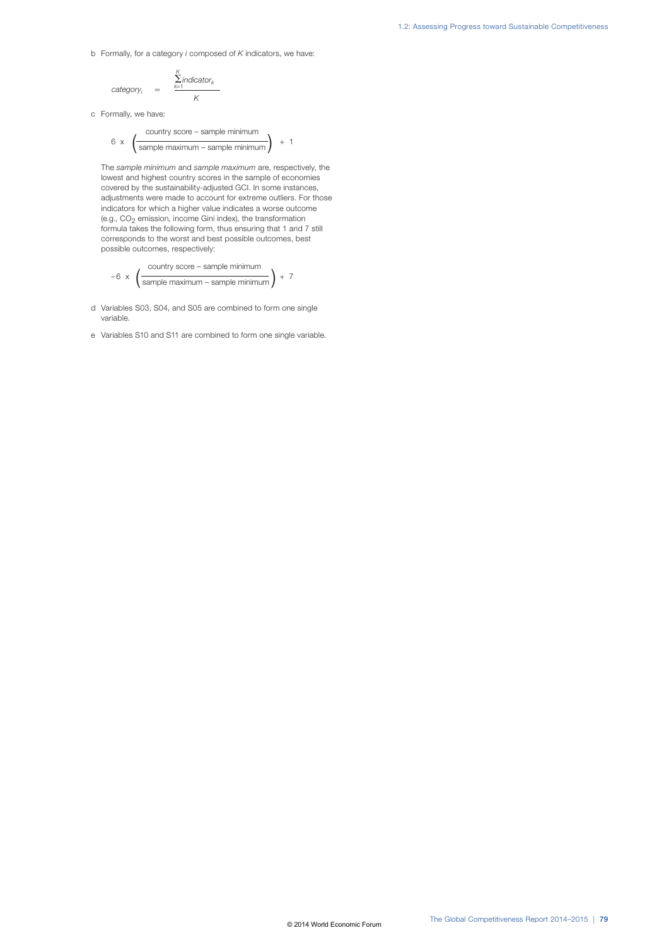b Formally, for a category *i* composed of *K* indicators, we have:

$$
category_i = \frac{\sum_{k=1}^{K} indicator_k}{K}
$$

c Formally, we have:

$$
6 \times \left(\frac{\text{country score} - \text{sample minimum}}{\text{sample maximum} - \text{sample minimum}}\right) + 1
$$

The *sample minimum* and *sample maximum* are, respectively, the lowest and highest country scores in the sample of economies covered by the sustainability-adjusted GCI. In some instances, adjustments were made to account for extreme outliers. For those indicators for which a higher value indicates a worse outcome (e.g.,  $CO<sub>2</sub>$  emission, income Gini index), the transformation formula takes the following form, thus ensuring that 1 and 7 still corresponds to the worst and best possible outcomes, best possible outcomes, respectively:

-6 
$$
\times
$$
  $\left(\frac{\text{country score} - \text{sample minimum}}{\text{sample maximum} - \text{sample minimum}}\right) + 7$ 

- d Variables S03, S04, and S05 are combined to form one single variable.
- e Variables S10 and S11 are combined to form one single variable.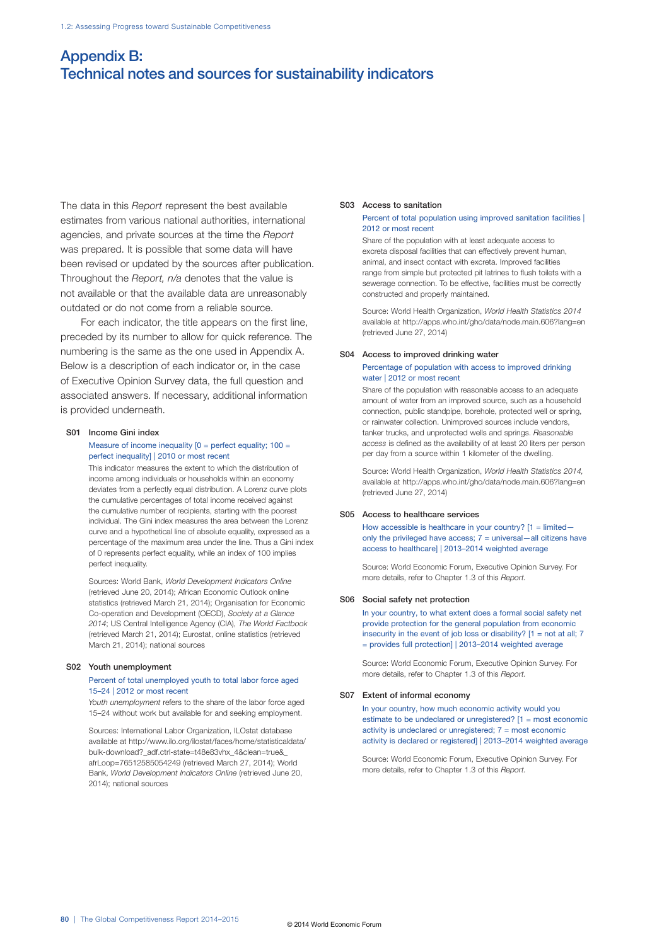# Appendix B: Technical notes and sources for sustainability indicators

The data in this *Report* represent the best available estimates from various national authorities, international agencies, and private sources at the time the *Report* was prepared. It is possible that some data will have been revised or updated by the sources after publication. Throughout the *Report, n/a* denotes that the value is not available or that the available data are unreasonably outdated or do not come from a reliable source.

For each indicator, the title appears on the first line, preceded by its number to allow for quick reference. The numbering is the same as the one used in Appendix A. Below is a description of each indicator or, in the case of Executive Opinion Survey data, the full question and associated answers. If necessary, additional information is provided underneath.

#### S01 Income Gini index

#### Measure of income inequality  $[0 =$  perfect equality;  $100 =$ perfect inequality] | 2010 or most recent

This indicator measures the extent to which the distribution of income among individuals or households within an economy deviates from a perfectly equal distribution. A Lorenz curve plots the cumulative percentages of total income received against the cumulative number of recipients, starting with the poorest individual. The Gini index measures the area between the Lorenz curve and a hypothetical line of absolute equality, expressed as a percentage of the maximum area under the line. Thus a Gini index of 0 represents perfect equality, while an index of 100 implies perfect inequality.

Sources: World Bank, *World Development Indicators Online* (retrieved June 20, 2014); African Economic Outlook online statistics (retrieved March 21, 2014); Organisation for Economic Co-operation and Development (OECD), *Society at a Glance 2014*; US Central Intelligence Agency (CIA), *The World Factbook* (retrieved March 21, 2014); Eurostat, online statistics (retrieved March 21, 2014); national sources

#### S02 Youth unemployment

#### Percent of total unemployed youth to total labor force aged 15–24 | 2012 or most recent

*Youth unemployment* refers to the share of the labor force aged 15–24 without work but available for and seeking employment.

Sources: International Labor Organization, ILOstat database available at http://www.ilo.org/ilostat/faces/home/statisticaldata/ bulk-download?\_adf.ctrl-state=t48e83vhx\_4&clean=true&\_ afrLoop=76512585054249 (retrieved March 27, 2014); World Bank, *World Development Indicators Online* (retrieved June 20, 2014); national sources

#### S03 Access to sanitation

#### Percent of total population using improved sanitation facilities | 2012 or most recent

Share of the population with at least adequate access to excreta disposal facilities that can effectively prevent human, animal, and insect contact with excreta. Improved facilities range from simple but protected pit latrines to flush toilets with a sewerage connection. To be effective, facilities must be correctly constructed and properly maintained.

Source: World Health Organization, *World Health Statistics 2014* available at http://apps.who.int/gho/data/node.main.606?lang=en (retrieved June 27, 2014)

#### S04 Access to improved drinking water

#### Percentage of population with access to improved drinking water | 2012 or most recent

Share of the population with reasonable access to an adequate amount of water from an improved source, such as a household connection, public standpipe, borehole, protected well or spring, or rainwater collection. Unimproved sources include vendors, tanker trucks, and unprotected wells and springs. *Reasonable access* is defined as the availability of at least 20 liters per person per day from a source within 1 kilometer of the dwelling.

Source: World Health Organization, *World Health Statistics 2014,* available at http://apps.who.int/gho/data/node.main.606?lang=en (retrieved June 27, 2014)

#### S05 Access to healthcare services

How accessible is healthcare in your country?  $[1 =$  limitedonly the privileged have access;  $7 =$  universal—all citizens have access to healthcare] | 2013–2014 weighted average

Source: World Economic Forum, Executive Opinion Survey. For more details, refer to Chapter 1.3 of this *Report.*

#### S06 Social safety net protection

In your country, to what extent does a formal social safety net provide protection for the general population from economic insecurity in the event of job loss or disability?  $[1 = not at all: 7]$ = provides full protection] | 2013–2014 weighted average

Source: World Economic Forum, Executive Opinion Survey. For more details, refer to Chapter 1.3 of this *Report.*

#### S07 Extent of informal economy

In your country, how much economic activity would you estimate to be undeclared or unregistered? [1 = most economic activity is undeclared or unregistered; 7 = most economic activity is declared or registered] | 2013–2014 weighted average

Source: World Economic Forum, Executive Opinion Survey. For more details, refer to Chapter 1.3 of this *Report.*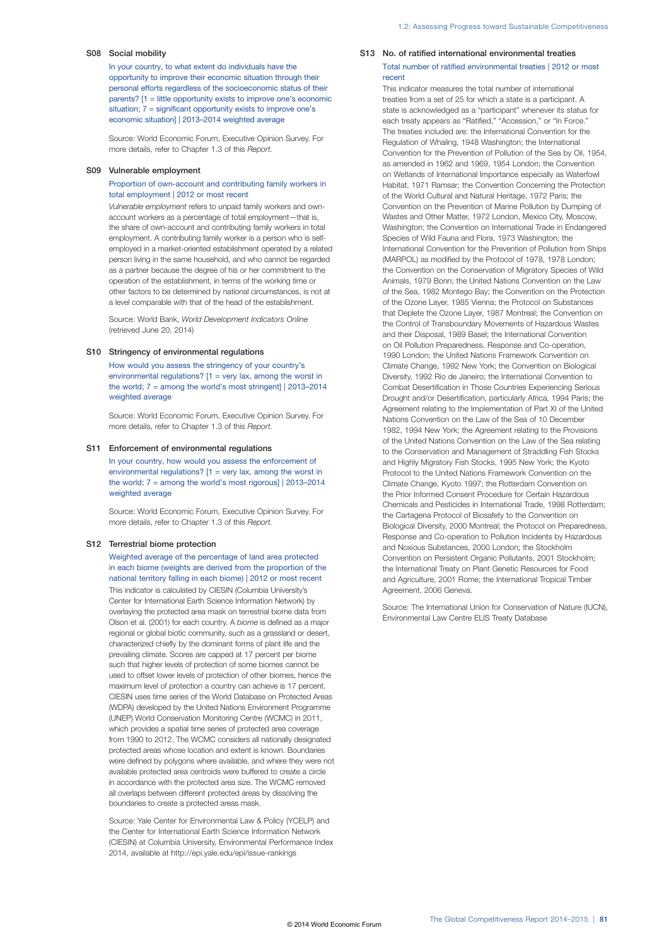#### S08 Social mobility

In your country, to what extent do individuals have the opportunity to improve their economic situation through their personal efforts regardless of the socioeconomic status of their parents? [1 = little opportunity exists to improve one's economic situation; 7 = significant opportunity exists to improve one's economic situation] | 2013–2014 weighted average

Source: World Economic Forum, Executive Opinion Survey. For more details, refer to Chapter 1.3 of this *Report.*

#### S09 Vulnerable employment

Proportion of own-account and contributing family workers in total employment | 2012 or most recent

*Vulnerable employment* refers to unpaid family workers and ownaccount workers as a percentage of total employment—that is, the share of own-account and contributing family workers in total employment. A contributing family worker is a person who is selfemployed in a market-oriented establishment operated by a related person living in the same household, and who cannot be regarded as a partner because the degree of his or her commitment to the operation of the establishment, in terms of the working time or other factors to be determined by national circumstances, is not at a level comparable with that of the head of the establishment.

Source: World Bank, *World Development Indicators Online* (retrieved June 20, 2014)

#### S10 Stringency of environmental regulations

How would you assess the stringency of your country's environmental regulations?  $[1]$  = very lax, among the worst in the world; 7 = among the world's most stringent] | 2013–2014 weighted average

Source: World Economic Forum, Executive Opinion Survey. For more details, refer to Chapter 1.3 of this *Report.*

#### S11 Enforcement of environmental regulations

In your country, how would you assess the enforcement of environmental regulations?  $[1 = \text{very lax}, \text{among the worst in}]$ the world;  $7 =$  among the world's most rigorous]  $\vert$  2013–2014 weighted average

Source: World Economic Forum, Executive Opinion Survey. For more details, refer to Chapter 1.3 of this *Report.*

#### S12 Terrestrial biome protection

Weighted average of the percentage of land area protected in each biome (weights are derived from the proportion of the national territory falling in each biome) | 2012 or most recent This indicator is calculated by CIESIN (Columbia University's Center for International Earth Science Information Network) by overlaying the protected area mask on terrestrial biome data from Olson et al. (2001) for each country. A *biome* is defined as a major regional or global biotic community, such as a grassland or desert, characterized chiefly by the dominant forms of plant life and the prevailing climate. Scores are capped at 17 percent per biome such that higher levels of protection of some biomes cannot be used to offset lower levels of protection of other biomes, hence the maximum level of protection a country can achieve is 17 percent. CIESIN uses time series of the World Database on Protected Areas (WDPA) developed by the United Nations Environment Programme (UNEP) World Conservation Monitoring Centre (WCMC) in 2011, which provides a spatial time series of protected area coverage from 1990 to 2012. The WCMC considers all nationally designated protected areas whose location and extent is known. Boundaries were defined by polygons where available, and where they were not available protected area centroids were buffered to create a circle in accordance with the protected area size. The WCMC removed all overlaps between different protected areas by dissolving the boundaries to create a protected areas mask.

Source: Yale Center for Environmental Law & Policy (YCELP) and the Center for International Earth Science Information Network (CIESIN) at Columbia University, Environmental Performance Index 2014, available at http://epi.yale.edu/epi/issue-rankings

#### S13 No. of ratified international environmental treaties Total number of ratified environmental treaties | 2012 or most recent

This indicator measures the total number of international treaties from a set of 25 for which a state is a participant. A state is acknowledged as a "participant" whenever its status for each treaty appears as "Ratified," "Accession," or "In Force." The treaties included are: the International Convention for the Regulation of Whaling, 1948 Washington; the International Convention for the Prevention of Pollution of the Sea by Oil, 1954, as amended in 1962 and 1969, 1954 London; the Convention on Wetlands of International Importance especially as Waterfowl Habitat, 1971 Ramsar; the Convention Concerning the Protection of the World Cultural and Natural Heritage, 1972 Paris; the Convention on the Prevention of Marine Pollution by Dumping of Wastes and Other Matter, 1972 London, Mexico City, Moscow, Washington; the Convention on International Trade in Endangered Species of Wild Fauna and Flora, 1973 Washington; the International Convention for the Prevention of Pollution from Ships (MARPOL) as modified by the Protocol of 1978, 1978 London; the Convention on the Conservation of Migratory Species of Wild Animals, 1979 Bonn; the United Nations Convention on the Law of the Sea, 1982 Montego Bay; the Convention on the Protection of the Ozone Layer, 1985 Vienna; the Protocol on Substances that Deplete the Ozone Layer, 1987 Montreal; the Convention on the Control of Transboundary Movements of Hazardous Wastes and their Disposal, 1989 Basel; the International Convention on Oil Pollution Preparedness, Response and Co-operation, 1990 London; the United Nations Framework Convention on Climate Change, 1992 New York; the Convention on Biological Diversity, 1992 Rio de Janeiro; the International Convention to Combat Desertification in Those Countries Experiencing Serious Drought and/or Desertification, particularly Africa, 1994 Paris; the Agreement relating to the Implementation of Part XI of the United Nations Convention on the Law of the Sea of 10 December 1982, 1994 New York; the Agreement relating to the Provisions of the United Nations Convention on the Law of the Sea relating to the Conservation and Management of Straddling Fish Stocks and Highly Migratory Fish Stocks, 1995 New York; the Kyoto Protocol to the United Nations Framework Convention on the Climate Change, Kyoto 1997; the Rotterdam Convention on the Prior Informed Consent Procedure for Certain Hazardous Chemicals and Pesticides in International Trade, 1998 Rotterdam; the Cartagena Protocol of Biosafety to the Convention on Biological Diversity, 2000 Montreal; the Protocol on Preparedness, Response and Co-operation to Pollution Incidents by Hazardous and Noxious Substances, 2000 London; the Stockholm Convention on Persistent Organic Pollutants, 2001 Stockholm; the International Treaty on Plant Genetic Resources for Food and Agriculture, 2001 Rome; the International Tropical Timber Agreement, 2006 Geneva.

Source: The International Union for Conservation of Nature (IUCN), Environmental Law Centre ELIS Treaty Database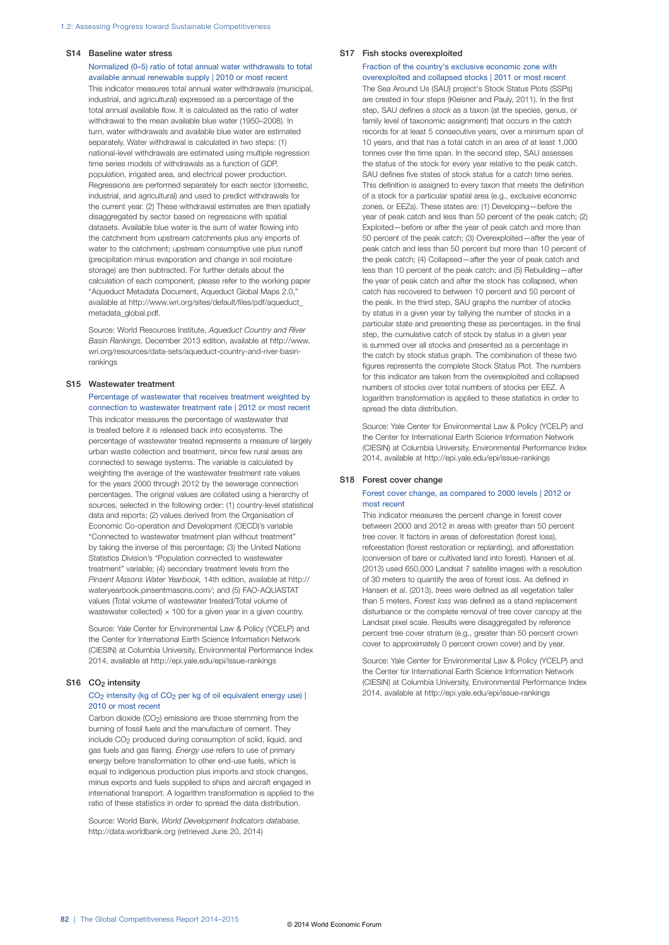#### S14 Baseline water stress

#### Normalized (0–5) ratio of total annual water withdrawals to total available annual renewable supply | 2010 or most recent

This indicator measures total annual water withdrawals (municipal, industrial, and agricultural) expressed as a percentage of the total annual available flow. It is calculated as the ratio of water withdrawal to the mean available blue water (1950–2008). In turn, water withdrawals and available blue water are estimated separately. Water withdrawal is calculated in two steps: (1) national-level withdrawals are estimated using multiple regression time series models of withdrawals as a function of GDP, population, irrigated area, and electrical power production. Regressions are performed separately for each sector (domestic, industrial, and agricultural) and used to predict withdrawals for the current year. (2) These withdrawal estimates are then spatially disaggregated by sector based on regressions with spatial datasets. Available blue water is the sum of water flowing into the catchment from upstream catchments plus any imports of water to the catchment; upstream consumptive use plus runoff (precipitation minus evaporation and change in soil moisture storage) are then subtracted. For further details about the calculation of each component, please refer to the working paper "Aqueduct Metadata Document, Aqueduct Global Maps 2.0," available at http://www.wri.org/sites/default/files/pdf/aqueduct\_ metadata\_global.pdf

Source: World Resources Institute, *Aqueduct Country and River Basin Rankings,* December 2013 edition, available at http://www. wri.org/resources/data-sets/aqueduct-country-and-river-basinrankings

#### S15 Wastewater treatment

Percentage of wastewater that receives treatment weighted by connection to wastewater treatment rate | 2012 or most recent This indicator measures the percentage of wastewater that is treated before it is released back into ecosystems. The percentage of wastewater treated represents a measure of largely urban waste collection and treatment, since few rural areas are connected to sewage systems. The variable is calculated by weighting the average of the wastewater treatment rate values for the years 2000 through 2012 by the sewerage connection percentages. The original values are collated using a hierarchy of sources, selected in the following order: (1) country-level statistical data and reports; (2) values derived from the Organisation of Economic Co-operation and Development (OECD)'s variable "Connected to wastewater treatment plan without treatment" by taking the inverse of this percentage; (3) the United Nations Statistics Division's "Population connected to wastewater treatment" variable; (4) secondary treatment levels from the *Pinsent Masons Water Yearbook,* 14th edition, available at http:// wateryearbook.pinsentmasons.com/; and (5) FAO-AQUASTAT values (Total volume of wastewater treated/Total volume of wastewater collected)  $\times$  100 for a given year in a given country.

Source: Yale Center for Environmental Law & Policy (YCELP) and the Center for International Earth Science Information Network (CIESIN) at Columbia University, Environmental Performance Index 2014, available at http://epi.yale.edu/epi/issue-rankings

#### S16 CO<sub>2</sub> intensity

#### CO<sub>2</sub> intensity (kg of CO<sub>2</sub> per kg of oil equivalent energy use) | 2010 or most recent

Carbon dioxide (CO2) emissions are those stemming from the burning of fossil fuels and the manufacture of cement. They include CO2 produced during consumption of solid, liquid, and gas fuels and gas flaring. *Energy use* refers to use of primary energy before transformation to other end-use fuels, which is equal to indigenous production plus imports and stock changes, minus exports and fuels supplied to ships and aircraft engaged in international transport. A logarithm transformation is applied to the ratio of these statistics in order to spread the data distribution.

Source: World Bank, *World Development Indicators database*, http://data.worldbank.org (retrieved June 20, 2014)

#### S17 Fish stocks overexploited

#### Fraction of the country's exclusive economic zone with overexploited and collapsed stocks | 2011 or most recent

The Sea Around Us (SAU) project's Stock Status Plots (SSPs) are created in four steps (Kleisner and Pauly, 2011). In the first step, SAU defines a *stock* as a taxon (at the species, genus, or family level of taxonomic assignment) that occurs in the catch records for at least 5 consecutive years, over a minimum span of 10 years, and that has a total catch in an area of at least 1,000 tonnes over the time span. In the second step, SAU assesses the status of the stock for every year relative to the peak catch. SAU defines five states of stock status for a catch time series. This definition is assigned to every taxon that meets the definition of a stock for a particular spatial area (e.g., exclusive economic zones, or EEZs). These states are: (1) Developing—before the year of peak catch and less than 50 percent of the peak catch; (2) Exploited—before or after the year of peak catch and more than 50 percent of the peak catch; (3) Overexploited—after the year of peak catch and less than 50 percent but more than 10 percent of the peak catch; (4) Collapsed—after the year of peak catch and less than 10 percent of the peak catch; and (5) Rebuilding—after the year of peak catch and after the stock has collapsed, when catch has recovered to between 10 percent and 50 percent of the peak. In the third step, SAU graphs the number of stocks by status in a given year by tallying the number of stocks in a particular state and presenting these as percentages. In the final step, the cumulative catch of stock by status in a given year is summed over all stocks and presented as a percentage in the catch by stock status graph. The combination of these two figures represents the complete Stock Status Plot. The numbers for this indicator are taken from the overexploited and collapsed numbers of stocks over total numbers of stocks per EEZ. A logarithm transformation is applied to these statistics in order to spread the data distribution.

Source: Yale Center for Environmental Law & Policy (YCELP) and the Center for International Earth Science Information Network (CIESIN) at Columbia University, Environmental Performance Index 2014, available at http://epi.yale.edu/epi/issue-rankings

#### S18 Forest cover change

#### Forest cover change, as compared to 2000 levels | 2012 or most recent

This indicator measures the percent change in forest cover between 2000 and 2012 in areas with greater than 50 percent tree cover. It factors in areas of deforestation (forest loss), reforestation (forest restoration or replanting), and afforestation (conversion of bare or cultivated land into forest). Hansen et al. (2013) used 650,000 Landsat 7 satellite images with a resolution of 30 meters to quantify the area of forest loss. As defined in Hansen et al. (2013), *trees* were defined as all vegetation taller than 5 meters. *Forest loss* was defined as a stand replacement disturbance or the complete removal of tree cover canopy at the Landsat pixel scale. Results were disaggregated by reference percent tree cover stratum (e.g., greater than 50 percent crown cover to approximately 0 percent crown cover) and by year.

Source: Yale Center for Environmental Law & Policy (YCELP) and the Center for International Earth Science Information Network (CIESIN) at Columbia University, Environmental Performance Index 2014, available at http://epi.yale.edu/epi/issue-rankings